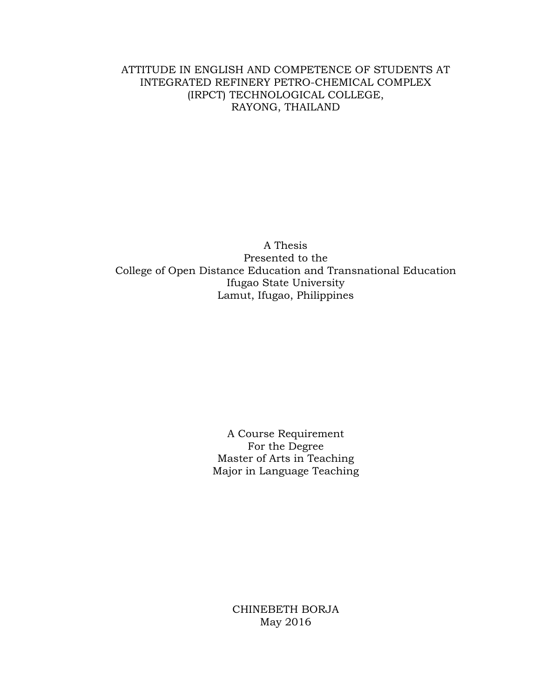### ATTITUDE IN ENGLISH AND COMPETENCE OF STUDENTS AT INTEGRATED REFINERY PETRO-CHEMICAL COMPLEX (IRPCT) TECHNOLOGICAL COLLEGE, RAYONG, THAILAND

A Thesis Presented to the College of Open Distance Education and Transnational Education Ifugao State University Lamut, Ifugao, Philippines

> A Course Requirement For the Degree Master of Arts in Teaching Major in Language Teaching

> > CHINEBETH BORJA May 2016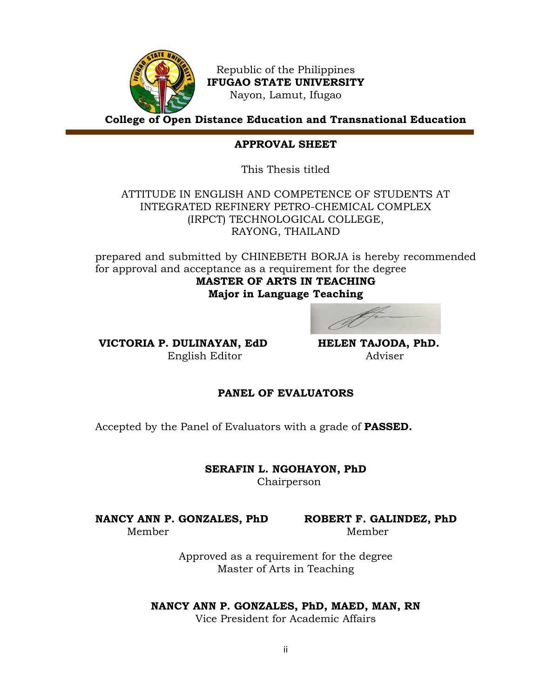

Republic of the Philippines **IFUGAO STATE UNIVERSITY** Nayon, Lamut, Ifugao

**College of Open Distance Education and Transnational Education**

### **APPROVAL SHEET**

This Thesis titled

ATTITUDE IN ENGLISH AND COMPETENCE OF STUDENTS AT INTEGRATED REFINERY PETRO-CHEMICAL COMPLEX (IRPCT) TECHNOLOGICAL COLLEGE, RAYONG, THAILAND

prepared and submitted by CHINEBETH BORJA is hereby recommended for approval and acceptance as a requirement for the degree **MASTER OF ARTS IN TEACHING Major in Language Teaching**

**VICTORIA P. DULINAYAN, EdD HELEN TAJODA, PhD.** English EditorAdviser

### **PANEL OF EVALUATORS**

Accepted by the Panel of Evaluators with a grade of **PASSED.**

**SERAFIN L. NGOHAYON, PhD** Chairperson

**NANCY ANN P. GONZALES, PhD ROBERT F. GALINDEZ, PhD**  Member Member

Approved as a requirement for the degree Master of Arts in Teaching

#### **NANCY ANN P. GONZALES, PhD, MAED, MAN, RN**

Vice President for Academic Affairs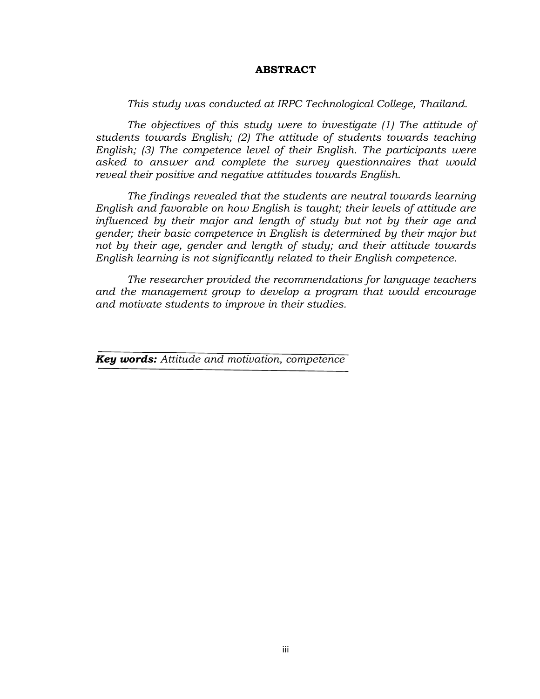### **ABSTRACT**

*This study was conducted at IRPC Technological College, Thailand.* 

*The objectives of this study were to investigate (1) The attitude of students towards English; (2) The attitude of students towards teaching English; (3) The competence level of their English. The participants were asked to answer and complete the survey questionnaires that would reveal their positive and negative attitudes towards English.* 

*The findings revealed that the students are neutral towards learning English and favorable on how English is taught; their levels of attitude are influenced by their major and length of study but not by their age and gender; their basic competence in English is determined by their major but not by their age, gender and length of study; and their attitude towards English learning is not significantly related to their English competence.*

*The researcher provided the recommendations for language teachers and the management group to develop a program that would encourage and motivate students to improve in their studies.*

*Key words: Attitude and motivation, competence*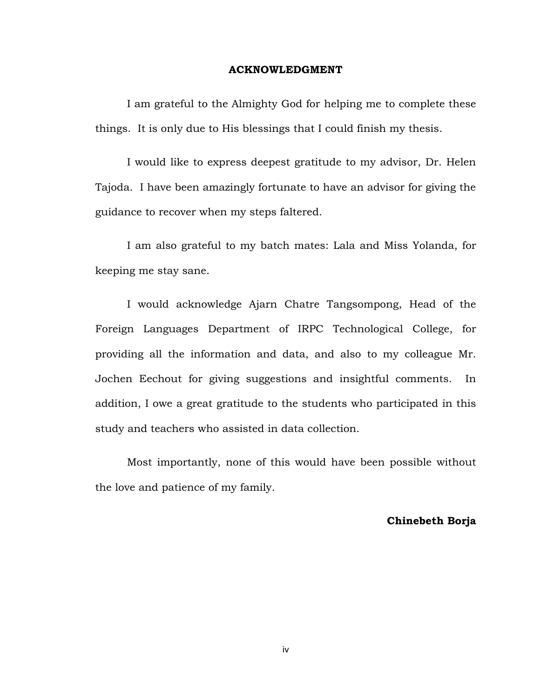#### **ACKNOWLEDGMENT**

I am grateful to the Almighty God for helping me to complete these things. It is only due to His blessings that I could finish my thesis.

I would like to express deepest gratitude to my advisor, Dr. Helen Tajoda. I have been amazingly fortunate to have an advisor for giving the guidance to recover when my steps faltered.

I am also grateful to my batch mates: Lala and Miss Yolanda, for keeping me stay sane.

I would acknowledge Ajarn Chatre Tangsompong, Head of the Foreign Languages Department of IRPC Technological College, for providing all the information and data, and also to my colleague Mr. Jochen Eechout for giving suggestions and insightful comments. In addition, I owe a great gratitude to the students who participated in this study and teachers who assisted in data collection.

Most importantly, none of this would have been possible without the love and patience of my family.

### **Chinebeth Borja**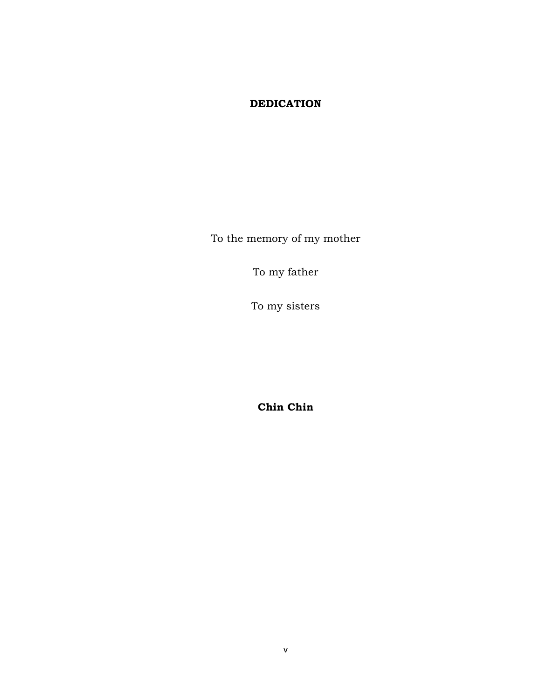# **DEDICATION**

To the memory of my mother

To my father

To my sisters

**Chin Chin**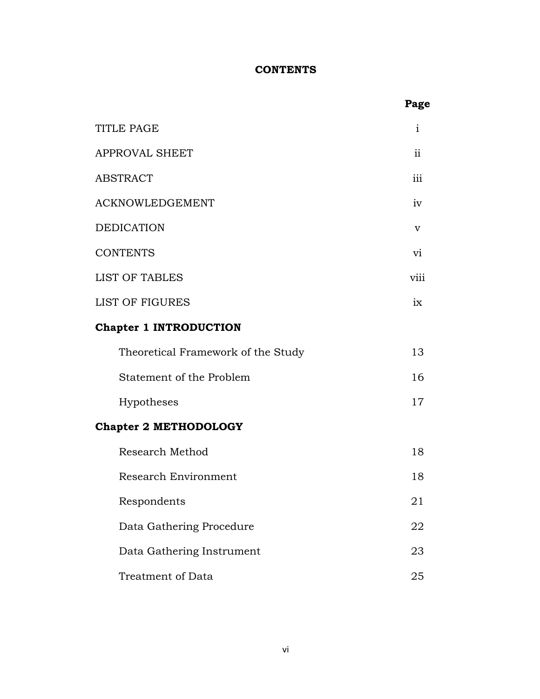# **CONTENTS**

|                                    | Page        |
|------------------------------------|-------------|
| <b>TITLE PAGE</b>                  | Ť           |
| <b>APPROVAL SHEET</b>              | ii          |
| <b>ABSTRACT</b>                    | iii         |
| <b>ACKNOWLEDGEMENT</b>             | iv          |
| <b>DEDICATION</b>                  | $\mathbf v$ |
| <b>CONTENTS</b>                    | $\rm{V}$    |
| <b>LIST OF TABLES</b>              | viii        |
| <b>LIST OF FIGURES</b>             | ix          |
| <b>Chapter 1 INTRODUCTION</b>      |             |
| Theoretical Framework of the Study | 13          |
| Statement of the Problem           | 16          |
| Hypotheses                         | 17          |
| <b>Chapter 2 METHODOLOGY</b>       |             |
| Research Method                    | 18          |
| Research Environment               | 18          |
| Respondents                        | 21          |
| Data Gathering Procedure           | 22          |
| Data Gathering Instrument          | 23          |
| Treatment of Data                  | 25          |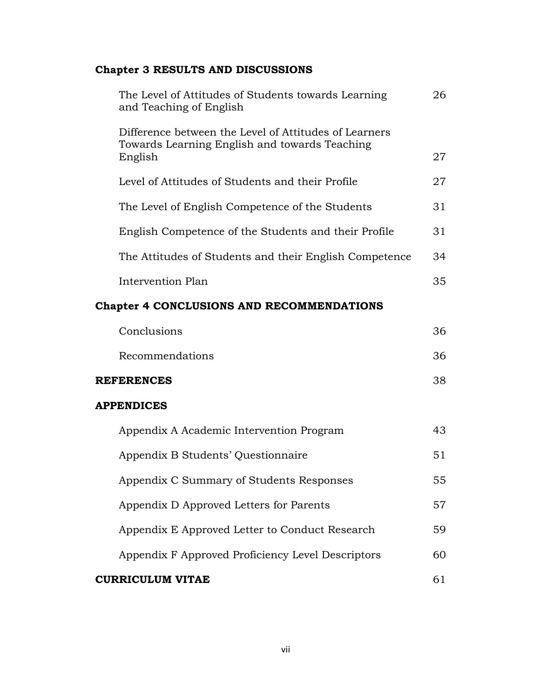# **Chapter 3 RESULTS AND DISCUSSIONS**

| The Level of Attitudes of Students towards Learning<br>and Teaching of English                                    | 26  |
|-------------------------------------------------------------------------------------------------------------------|-----|
| Difference between the Level of Attitudes of Learners<br>Towards Learning English and towards Teaching<br>English | 27  |
| Level of Attitudes of Students and their Profile                                                                  | 27  |
| The Level of English Competence of the Students                                                                   | 31  |
| English Competence of the Students and their Profile                                                              | 31  |
| The Attitudes of Students and their English Competence                                                            | 34. |
| Intervention Plan                                                                                                 | 35  |

# **Chapter 4 CONCLUSIONS AND RECOMMENDATIONS**

| <b>REFERENCES</b> | 38  |
|-------------------|-----|
| Recommendations   | 36. |
| Conclusions       | 36. |

# **APPENDICES**

| Appendix A Academic Intervention Program          | 43. |
|---------------------------------------------------|-----|
| Appendix B Students' Questionnaire                | 51  |
| Appendix C Summary of Students Responses          | 55  |
| Appendix D Approved Letters for Parents           | 57  |
| Appendix E Approved Letter to Conduct Research    | 59  |
| Appendix F Approved Proficiency Level Descriptors | 60  |
| CURRICULUM VITAE                                  |     |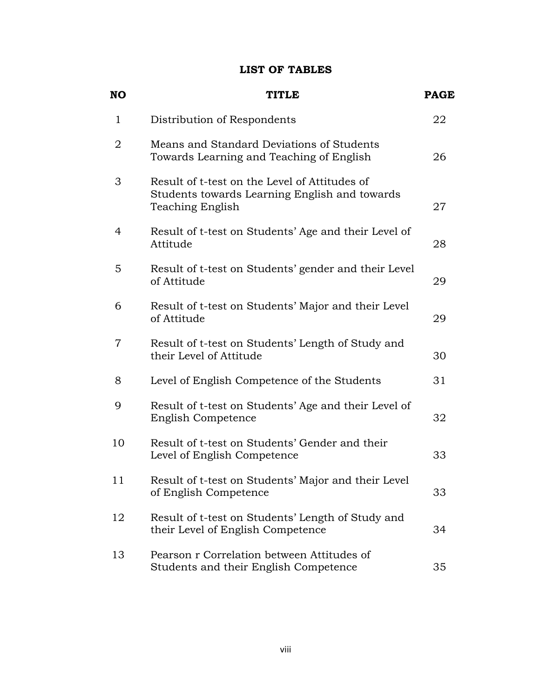## **LIST OF TABLES**

| <b>NO</b>      | <b>TITLE</b>                                                                                                       | <b>PAGE</b> |
|----------------|--------------------------------------------------------------------------------------------------------------------|-------------|
| $\mathbf{1}$   | Distribution of Respondents                                                                                        | 22          |
| $\overline{2}$ | Means and Standard Deviations of Students<br>Towards Learning and Teaching of English                              | 26          |
| 3              | Result of t-test on the Level of Attitudes of<br>Students towards Learning English and towards<br>Teaching English | 27          |
| 4              | Result of t-test on Students' Age and their Level of<br>Attitude                                                   | 28          |
| 5              | Result of t-test on Students' gender and their Level<br>of Attitude                                                | 29          |
| 6              | Result of t-test on Students' Major and their Level<br>of Attitude                                                 | 29          |
| 7              | Result of t-test on Students' Length of Study and<br>their Level of Attitude                                       | 30          |
| 8              | Level of English Competence of the Students                                                                        | 31          |
| 9              | Result of t-test on Students' Age and their Level of<br><b>English Competence</b>                                  | 32          |
| 10             | Result of t-test on Students' Gender and their<br>Level of English Competence                                      | 33          |
| 11             | Result of t-test on Students' Major and their Level<br>of English Competence                                       | 33          |
| 12             | Result of t-test on Students' Length of Study and<br>their Level of English Competence                             | 34          |
| 13             | Pearson r Correlation between Attitudes of<br>Students and their English Competence                                | 35          |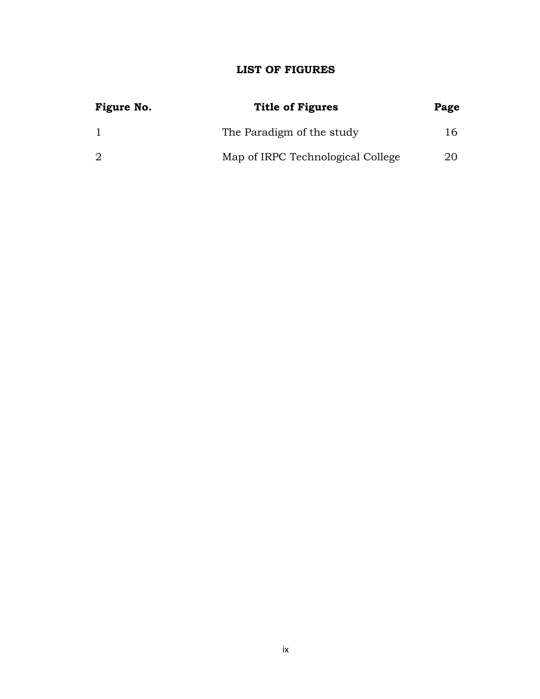# **LIST OF FIGURES**

| Figure No. | <b>Title of Figures</b>           | Page |
|------------|-----------------------------------|------|
|            | The Paradigm of the study         | 16.  |
| 2          | Map of IRPC Technological College | 20   |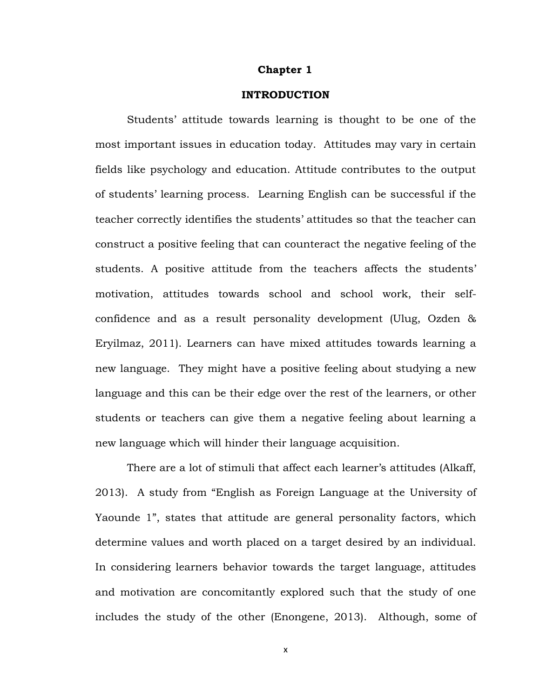#### **Chapter 1**

#### **INTRODUCTION**

Students' attitude towards learning is thought to be one of the most important issues in education today. Attitudes may vary in certain fields like psychology and education. Attitude contributes to the output of students' learning process. Learning English can be successful if the teacher correctly identifies the students' attitudes so that the teacher can construct a positive feeling that can counteract the negative feeling of the students. A positive attitude from the teachers affects the students' motivation, attitudes towards school and school work, their selfconfidence and as a result personality development (Ulug, Ozden & Eryilmaz, 2011). Learners can have mixed attitudes towards learning a new language. They might have a positive feeling about studying a new language and this can be their edge over the rest of the learners, or other students or teachers can give them a negative feeling about learning a new language which will hinder their language acquisition.

There are a lot of stimuli that affect each learner's attitudes (Alkaff, 2013). A study from "English as Foreign Language at the University of Yaounde 1", states that attitude are general personality factors, which determine values and worth placed on a target desired by an individual. In considering learners behavior towards the target language, attitudes and motivation are concomitantly explored such that the study of one includes the study of the other (Enongene, 2013). Although, some of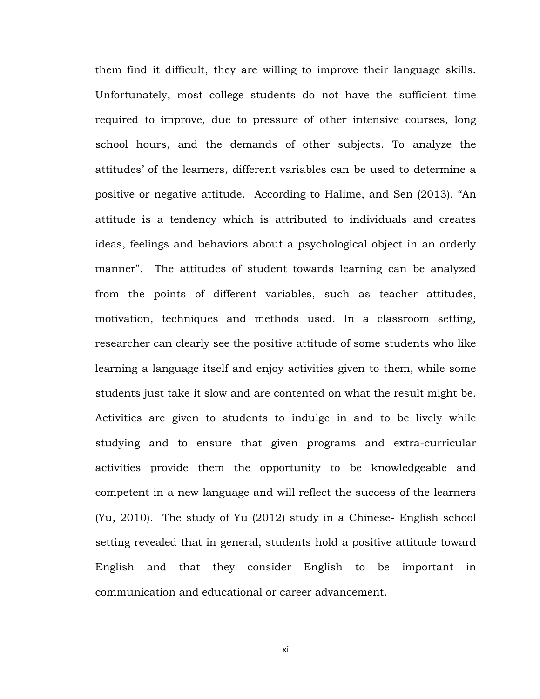them find it difficult, they are willing to improve their language skills. Unfortunately, most college students do not have the sufficient time required to improve, due to pressure of other intensive courses, long school hours, and the demands of other subjects. To analyze the attitudes' of the learners, different variables can be used to determine a positive or negative attitude. According to Halime, and Sen (2013), "An attitude is a tendency which is attributed to individuals and creates ideas, feelings and behaviors about a psychological object in an orderly manner". The attitudes of student towards learning can be analyzed from the points of different variables, such as teacher attitudes, motivation, techniques and methods used. In a classroom setting, researcher can clearly see the positive attitude of some students who like learning a language itself and enjoy activities given to them, while some students just take it slow and are contented on what the result might be. Activities are given to students to indulge in and to be lively while studying and to ensure that given programs and extra-curricular activities provide them the opportunity to be knowledgeable and competent in a new language and will reflect the success of the learners (Yu, 2010). The study of Yu (2012) study in a Chinese- English school setting revealed that in general, students hold a positive attitude toward English and that they consider English to be important in communication and educational or career advancement.

xi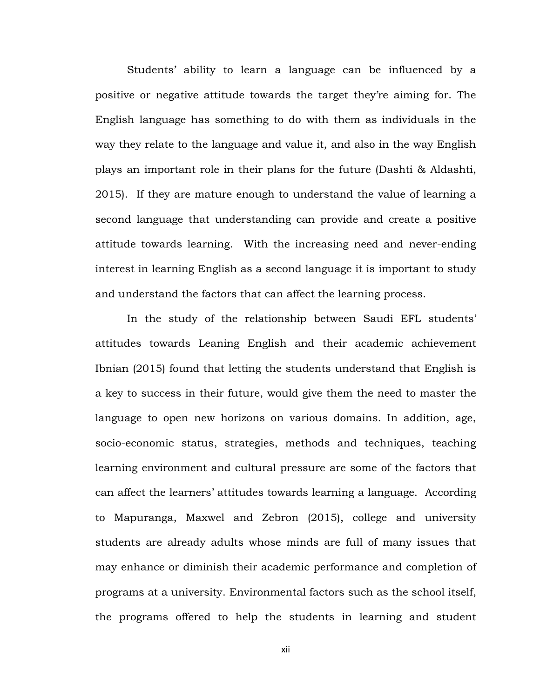Students' ability to learn a language can be influenced by a positive or negative attitude towards the target they're aiming for. The English language has something to do with them as individuals in the way they relate to the language and value it, and also in the way English plays an important role in their plans for the future (Dashti & Aldashti, 2015). If they are mature enough to understand the value of learning a second language that understanding can provide and create a positive attitude towards learning. With the increasing need and never-ending interest in learning English as a second language it is important to study and understand the factors that can affect the learning process.

In the study of the relationship between Saudi EFL students' attitudes towards Leaning English and their academic achievement Ibnian (2015) found that letting the students understand that English is a key to success in their future, would give them the need to master the language to open new horizons on various domains. In addition, age, socio-economic status, strategies, methods and techniques, teaching learning environment and cultural pressure are some of the factors that can affect the learners' attitudes towards learning a language. According to Mapuranga, Maxwel and Zebron (2015), college and university students are already adults whose minds are full of many issues that may enhance or diminish their academic performance and completion of programs at a university. Environmental factors such as the school itself, the programs offered to help the students in learning and student

xii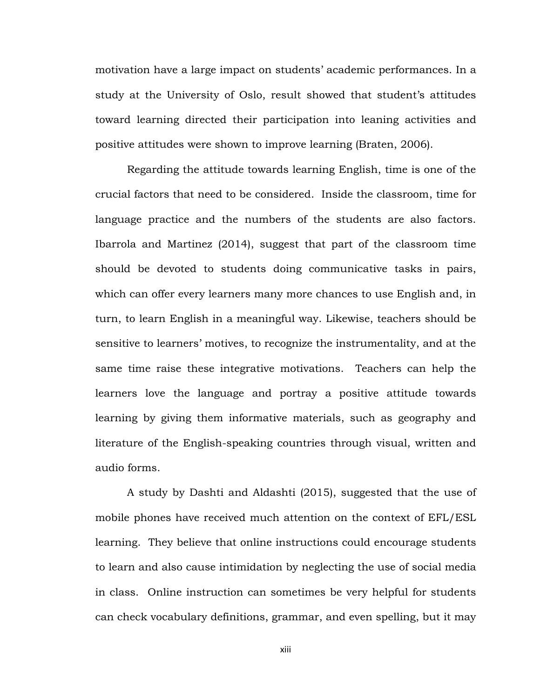motivation have a large impact on students' academic performances. In a study at the University of Oslo, result showed that student's attitudes toward learning directed their participation into leaning activities and positive attitudes were shown to improve learning (Braten, 2006).

Regarding the attitude towards learning English, time is one of the crucial factors that need to be considered. Inside the classroom, time for language practice and the numbers of the students are also factors. Ibarrola and Martinez (2014), suggest that part of the classroom time should be devoted to students doing communicative tasks in pairs, which can offer every learners many more chances to use English and, in turn, to learn English in a meaningful way. Likewise, teachers should be sensitive to learners' motives, to recognize the instrumentality, and at the same time raise these integrative motivations. Teachers can help the learners love the language and portray a positive attitude towards learning by giving them informative materials, such as geography and literature of the English-speaking countries through visual, written and audio forms.

A study by Dashti and Aldashti (2015), suggested that the use of mobile phones have received much attention on the context of EFL/ESL learning. They believe that online instructions could encourage students to learn and also cause intimidation by neglecting the use of social media in class. Online instruction can sometimes be very helpful for students can check vocabulary definitions, grammar, and even spelling, but it may

xiii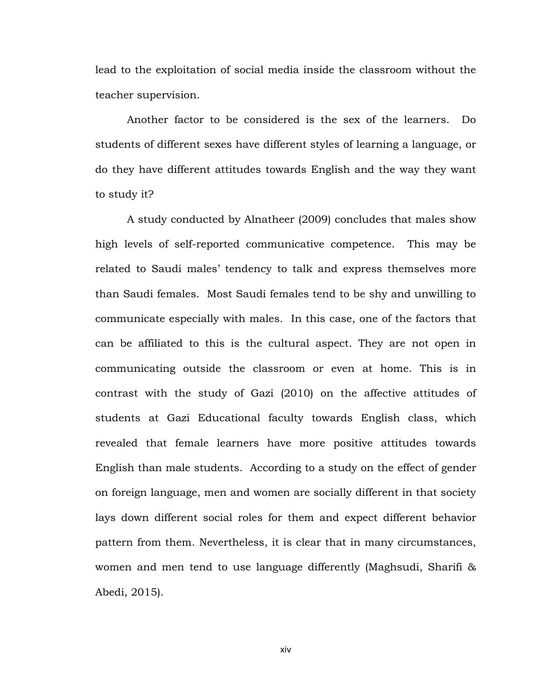lead to the exploitation of social media inside the classroom without the teacher supervision.

Another factor to be considered is the sex of the learners. Do students of different sexes have different styles of learning a language, or do they have different attitudes towards English and the way they want to study it?

A study conducted by Alnatheer (2009) concludes that males show high levels of self-reported communicative competence. This may be related to Saudi males' tendency to talk and express themselves more than Saudi females. Most Saudi females tend to be shy and unwilling to communicate especially with males. In this case, one of the factors that can be affiliated to this is the cultural aspect. They are not open in communicating outside the classroom or even at home. This is in contrast with the study of Gazi (2010) on the affective attitudes of students at Gazi Educational faculty towards English class, which revealed that female learners have more positive attitudes towards English than male students. According to a study on the effect of gender on foreign language, men and women are socially different in that society lays down different social roles for them and expect different behavior pattern from them. Nevertheless, it is clear that in many circumstances, women and men tend to use language differently (Maghsudi, Sharifi & Abedi, 2015).

xiv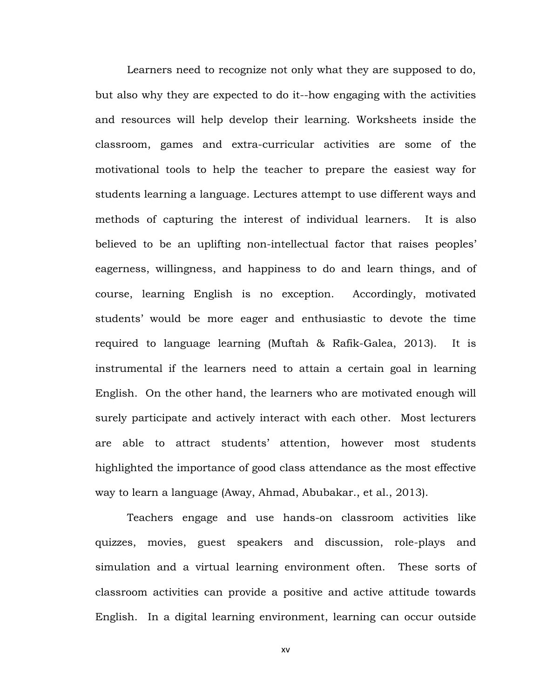Learners need to recognize not only what they are supposed to do, but also why they are expected to do it--how engaging with the activities and resources will help develop their learning. Worksheets inside the classroom, games and extra-curricular activities are some of the motivational tools to help the teacher to prepare the easiest way for students learning a language. Lectures attempt to use different ways and methods of capturing the interest of individual learners. It is also believed to be an uplifting non-intellectual factor that raises peoples' eagerness, willingness, and happiness to do and learn things, and of course, learning English is no exception. Accordingly, motivated students' would be more eager and enthusiastic to devote the time required to language learning (Muftah & Rafik-Galea, 2013). It is instrumental if the learners need to attain a certain goal in learning English. On the other hand, the learners who are motivated enough will surely participate and actively interact with each other. Most lecturers are able to attract students' attention, however most students highlighted the importance of good class attendance as the most effective way to learn a language (Away, Ahmad, Abubakar., et al., 2013).

Teachers engage and use hands-on classroom activities like quizzes, movies, guest speakers and discussion, role-plays and simulation and a virtual learning environment often. These sorts of classroom activities can provide a positive and active attitude towards English. In a digital learning environment, learning can occur outside

xv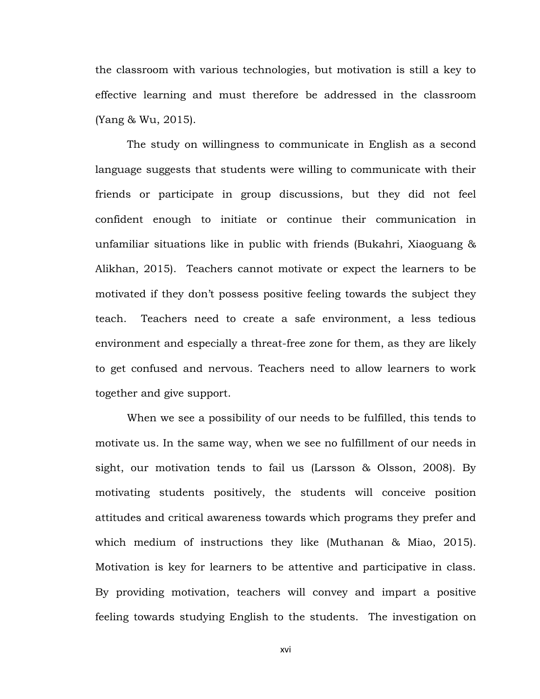the classroom with various technologies, but motivation is still a key to effective learning and must therefore be addressed in the classroom (Yang & Wu, 2015).

The study on willingness to communicate in English as a second language suggests that students were willing to communicate with their friends or participate in group discussions, but they did not feel confident enough to initiate or continue their communication in unfamiliar situations like in public with friends (Bukahri, Xiaoguang & Alikhan, 2015). Teachers cannot motivate or expect the learners to be motivated if they don't possess positive feeling towards the subject they teach. Teachers need to create a safe environment, a less tedious environment and especially a threat-free zone for them, as they are likely to get confused and nervous. Teachers need to allow learners to work together and give support.

When we see a possibility of our needs to be fulfilled, this tends to motivate us. In the same way, when we see no fulfillment of our needs in sight, our motivation tends to fail us (Larsson & Olsson, 2008). By motivating students positively, the students will conceive position attitudes and critical awareness towards which programs they prefer and which medium of instructions they like (Muthanan & Miao, 2015). Motivation is key for learners to be attentive and participative in class. By providing motivation, teachers will convey and impart a positive feeling towards studying English to the students. The investigation on

xvi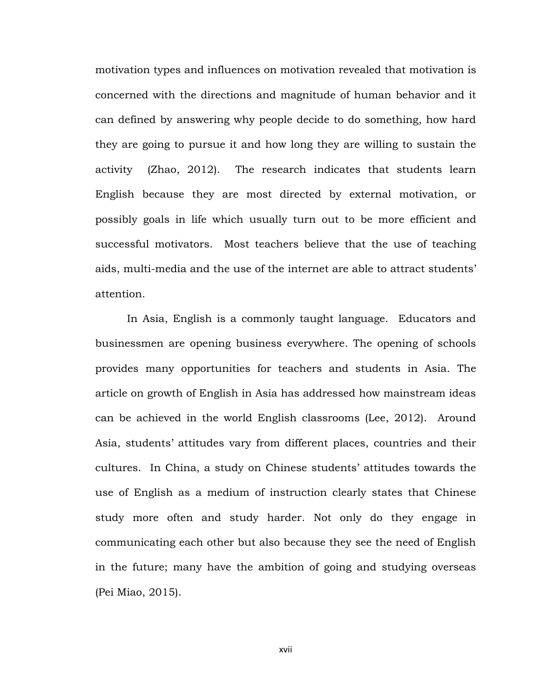motivation types and influences on motivation revealed that motivation is concerned with the directions and magnitude of human behavior and it can defined by answering why people decide to do something, how hard they are going to pursue it and how long they are willing to sustain the activity (Zhao, 2012). The research indicates that students learn English because they are most directed by external motivation, or possibly goals in life which usually turn out to be more efficient and successful motivators. Most teachers believe that the use of teaching aids, multi-media and the use of the internet are able to attract students' attention.

In Asia, English is a commonly taught language. Educators and businessmen are opening business everywhere. The opening of schools provides many opportunities for teachers and students in Asia. The article on growth of English in Asia has addressed how mainstream ideas can be achieved in the world English classrooms (Lee, 2012). Around Asia, students' attitudes vary from different places, countries and their cultures. In China, a study on Chinese students' attitudes towards the use of English as a medium of instruction clearly states that Chinese study more often and study harder. Not only do they engage in communicating each other but also because they see the need of English in the future; many have the ambition of going and studying overseas (Pei Miao, 2015).

xvii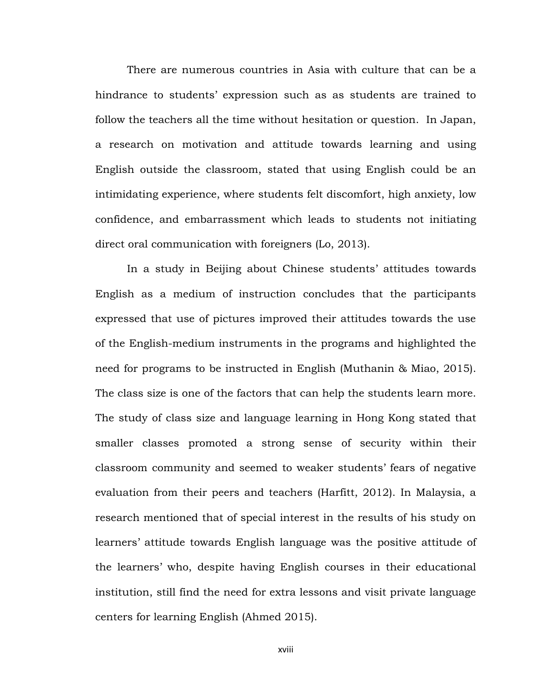There are numerous countries in Asia with culture that can be a hindrance to students' expression such as as students are trained to follow the teachers all the time without hesitation or question. In Japan, a research on motivation and attitude towards learning and using English outside the classroom, stated that using English could be an intimidating experience, where students felt discomfort, high anxiety, low confidence, and embarrassment which leads to students not initiating direct oral communication with foreigners (Lo, 2013).

In a study in Beijing about Chinese students' attitudes towards English as a medium of instruction concludes that the participants expressed that use of pictures improved their attitudes towards the use of the English-medium instruments in the programs and highlighted the need for programs to be instructed in English (Muthanin & Miao, 2015). The class size is one of the factors that can help the students learn more. The study of class size and language learning in Hong Kong stated that smaller classes promoted a strong sense of security within their classroom community and seemed to weaker students' fears of negative evaluation from their peers and teachers (Harfitt, 2012). In Malaysia, a research mentioned that of special interest in the results of his study on learners' attitude towards English language was the positive attitude of the learners' who, despite having English courses in their educational institution, still find the need for extra lessons and visit private language centers for learning English (Ahmed 2015).

xviii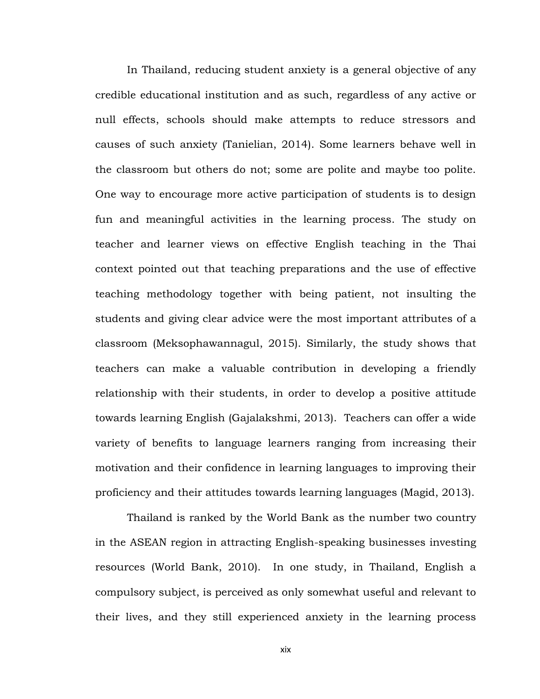In Thailand, reducing student anxiety is a general objective of any credible educational institution and as such, regardless of any active or null effects, schools should make attempts to reduce stressors and causes of such anxiety (Tanielian, 2014). Some learners behave well in the classroom but others do not; some are polite and maybe too polite. One way to encourage more active participation of students is to design fun and meaningful activities in the learning process. The study on teacher and learner views on effective English teaching in the Thai context pointed out that teaching preparations and the use of effective teaching methodology together with being patient, not insulting the students and giving clear advice were the most important attributes of a classroom (Meksophawannagul, 2015). Similarly, the study shows that teachers can make a valuable contribution in developing a friendly relationship with their students, in order to develop a positive attitude towards learning English (Gajalakshmi, 2013). Teachers can offer a wide variety of benefits to language learners ranging from increasing their motivation and their confidence in learning languages to improving their proficiency and their attitudes towards learning languages (Magid, 2013).

Thailand is ranked by the World Bank as the number two country in the ASEAN region in attracting English-speaking businesses investing resources (World Bank, 2010). In one study, in Thailand, English a compulsory subject, is perceived as only somewhat useful and relevant to their lives, and they still experienced anxiety in the learning process

xix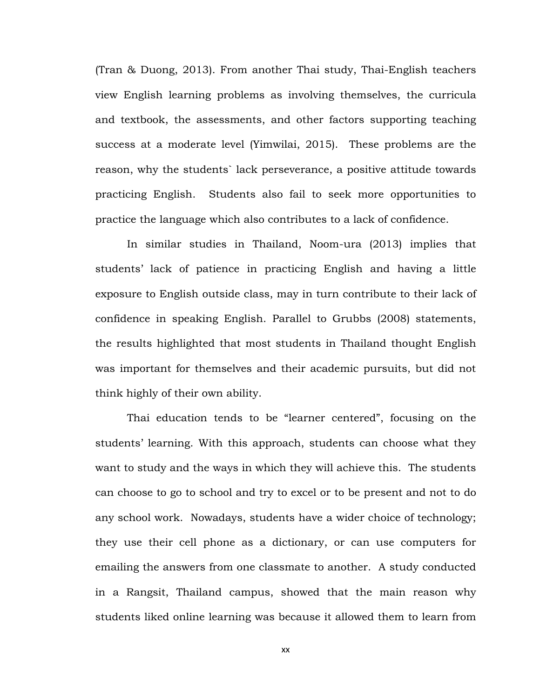(Tran & Duong, 2013). From another Thai study, Thai-English teachers view English learning problems as involving themselves, the curricula and textbook, the assessments, and other factors supporting teaching success at a moderate level (Yimwilai, 2015). These problems are the reason, why the students` lack perseverance, a positive attitude towards practicing English. Students also fail to seek more opportunities to practice the language which also contributes to a lack of confidence.

In similar studies in Thailand, Noom-ura (2013) implies that students' lack of patience in practicing English and having a little exposure to English outside class, may in turn contribute to their lack of confidence in speaking English. Parallel to Grubbs (2008) statements, the results highlighted that most students in Thailand thought English was important for themselves and their academic pursuits, but did not think highly of their own ability.

Thai education tends to be "learner centered", focusing on the students' learning. With this approach, students can choose what they want to study and the ways in which they will achieve this. The students can choose to go to school and try to excel or to be present and not to do any school work. Nowadays, students have a wider choice of technology; they use their cell phone as a dictionary, or can use computers for emailing the answers from one classmate to another. A study conducted in a Rangsit, Thailand campus, showed that the main reason why students liked online learning was because it allowed them to learn from

xx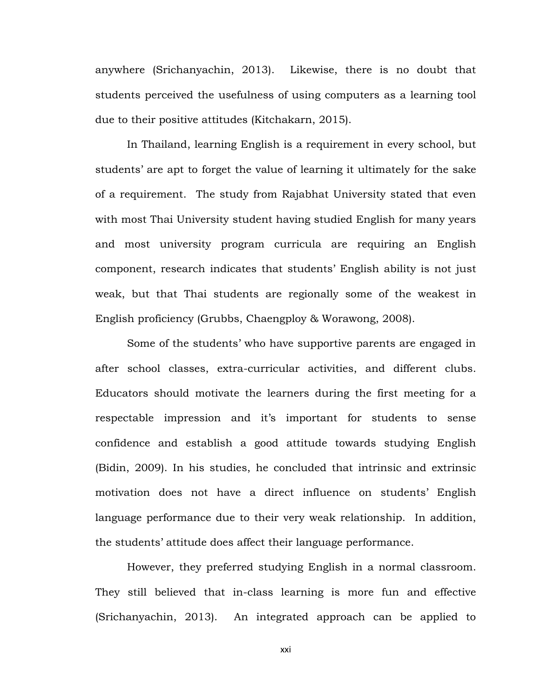anywhere (Srichanyachin, 2013). Likewise, there is no doubt that students perceived the usefulness of using computers as a learning tool due to their positive attitudes (Kitchakarn, 2015).

In Thailand, learning English is a requirement in every school, but students' are apt to forget the value of learning it ultimately for the sake of a requirement. The study from Rajabhat University stated that even with most Thai University student having studied English for many years and most university program curricula are requiring an English component, research indicates that students' English ability is not just weak, but that Thai students are regionally some of the weakest in English proficiency (Grubbs, Chaengploy & Worawong, 2008).

Some of the students' who have supportive parents are engaged in after school classes, extra-curricular activities, and different clubs. Educators should motivate the learners during the first meeting for a respectable impression and it's important for students to sense confidence and establish a good attitude towards studying English (Bidin, 2009). In his studies, he concluded that intrinsic and extrinsic motivation does not have a direct influence on students' English language performance due to their very weak relationship. In addition, the students' attitude does affect their language performance.

However, they preferred studying English in a normal classroom. They still believed that in-class learning is more fun and effective (Srichanyachin, 2013). An integrated approach can be applied to

xxi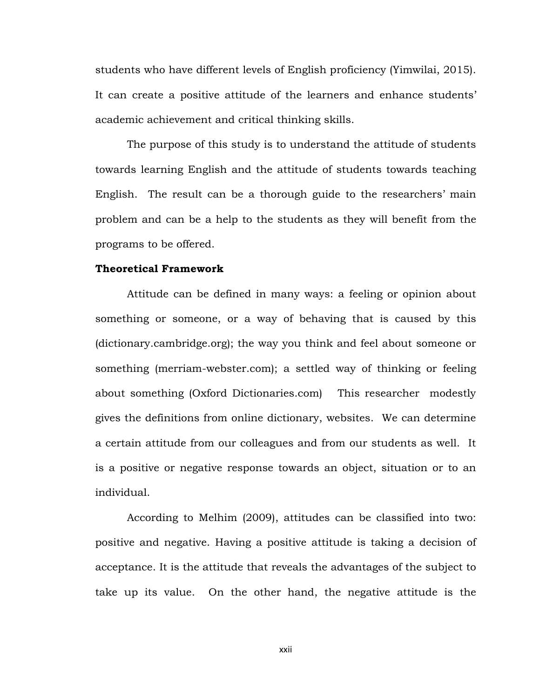students who have different levels of English proficiency (Yimwilai, 2015). It can create a positive attitude of the learners and enhance students' academic achievement and critical thinking skills.

The purpose of this study is to understand the attitude of students towards learning English and the attitude of students towards teaching English. The result can be a thorough guide to the researchers' main problem and can be a help to the students as they will benefit from the programs to be offered.

### **Theoretical Framework**

Attitude can be defined in many ways: a [feeling](http://dictionary.cambridge.org/dictionary/english/feeling) or [opinion](http://dictionary.cambridge.org/dictionary/english/opinion) about something or someone, or a way of [behaving](http://dictionary.cambridge.org/dictionary/english/behave) that is [caused](http://dictionary.cambridge.org/dictionary/english/cause) by this (dictionary.cambridge.org); the way you think and feel about someone or something (merriam-webster.com); a [settled](http://www.oxforddictionaries.com/definition/english/settle#settle__2) way of thinking or feeling about something (Oxford Dictionaries.com) This researcher modestly gives the definitions from online dictionary, websites. We can determine a certain attitude from our colleagues and from our students as well. It is a positive or negative response towards an object, situation or to an individual.

According to Melhim (2009), attitudes can be classified into two: positive and negative. Having a positive attitude is taking a decision of acceptance. It is the attitude that reveals the advantages of the subject to take up its value. On the other hand, the negative attitude is the

xxii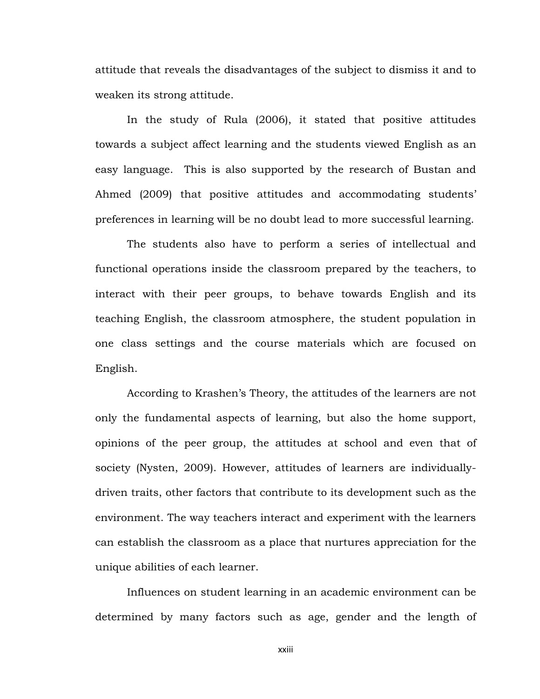attitude that reveals the disadvantages of the subject to dismiss it and to weaken its strong attitude.

In the study of Rula (2006), it stated that positive attitudes towards a subject affect learning and the students viewed English as an easy language. This is also supported by the research of Bustan and Ahmed (2009) that positive attitudes and accommodating students' preferences in learning will be no doubt lead to more successful learning.

The students also have to perform a series of intellectual and functional operations inside the classroom prepared by the teachers, to interact with their peer groups, to behave towards English and its teaching English, the classroom atmosphere, the student population in one class settings and the course materials which are focused on English.

According to Krashen's Theory, the attitudes of the learners are not only the fundamental aspects of learning, but also the home support, opinions of the peer group, the attitudes at school and even that of society (Nysten, 2009). However, attitudes of learners are individuallydriven traits, other factors that contribute to its development such as the environment. The way teachers interact and experiment with the learners can establish the classroom as a place that nurtures appreciation for the unique abilities of each learner.

Influences on student learning in an academic environment can be determined by many factors such as age, gender and the length of

xxiii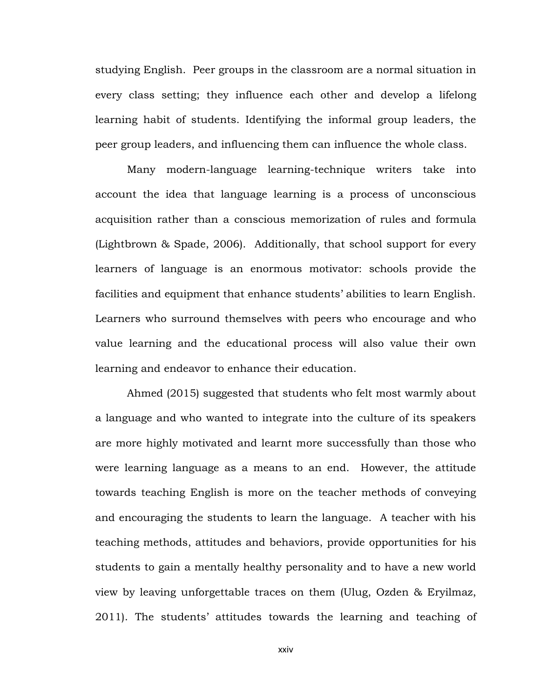studying English. Peer groups in the classroom are a normal situation in every class setting; they influence each other and develop a lifelong learning habit of students. Identifying the informal group leaders, the peer group leaders, and influencing them can influence the whole class.

Many modern-language learning-technique writers take into account the idea that language learning is a process of unconscious acquisition rather than a conscious memorization of rules and formula (Lightbrown & Spade, 2006). Additionally, that school support for every learners of language is an enormous motivator: schools provide the facilities and equipment that enhance students' abilities to learn English. Learners who surround themselves with peers who encourage and who value learning and the educational process will also value their own learning and endeavor to enhance their education.

Ahmed (2015) suggested that students who felt most warmly about a language and who wanted to integrate into the culture of its speakers are more highly motivated and learnt more successfully than those who were learning language as a means to an end. However, the attitude towards teaching English is more on the teacher methods of conveying and encouraging the students to learn the language. A teacher with his teaching methods, attitudes and behaviors, provide opportunities for his students to gain a mentally healthy personality and to have a new world view by leaving unforgettable traces on them (Ulug, Ozden & Eryilmaz, 2011). The students' attitudes towards the learning and teaching of

xxiv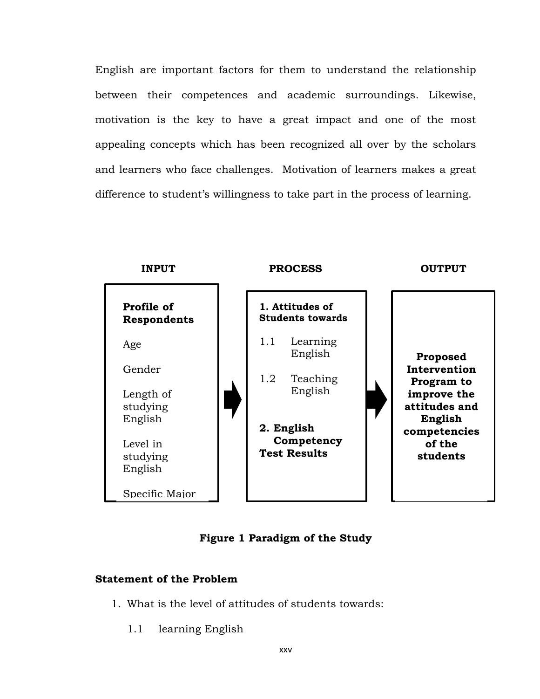English are important factors for them to understand the relationship between their competences and academic surroundings. Likewise, motivation is the key to have a great impact and one of the most appealing concepts which has been recognized all over by the scholars and learners who face challenges. Motivation of learners makes a great difference to student's willingness to take part in the process of learning.



**Figure 1 Paradigm of the Study**

### **Statement of the Problem**

- 1. What is the level of attitudes of students towards:
	- 1.1 learning English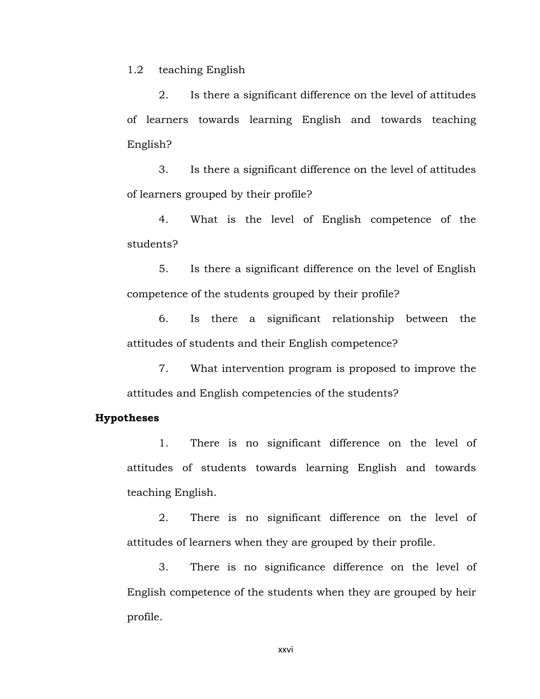1.2 teaching English

2. Is there a significant difference on the level of attitudes of learners towards learning English and towards teaching English?

3. Is there a significant difference on the level of attitudes of learners grouped by their profile?

4. What is the level of English competence of the students?

5. Is there a significant difference on the level of English competence of the students grouped by their profile?

6. Is there a significant relationship between the attitudes of students and their English competence?

7. What intervention program is proposed to improve the attitudes and English competencies of the students?

#### **Hypotheses**

1. There is no significant difference on the level of attitudes of students towards learning English and towards teaching English.

2. There is no significant difference on the level of attitudes of learners when they are grouped by their profile.

3. There is no significance difference on the level of English competence of the students when they are grouped by heir profile.

xxvi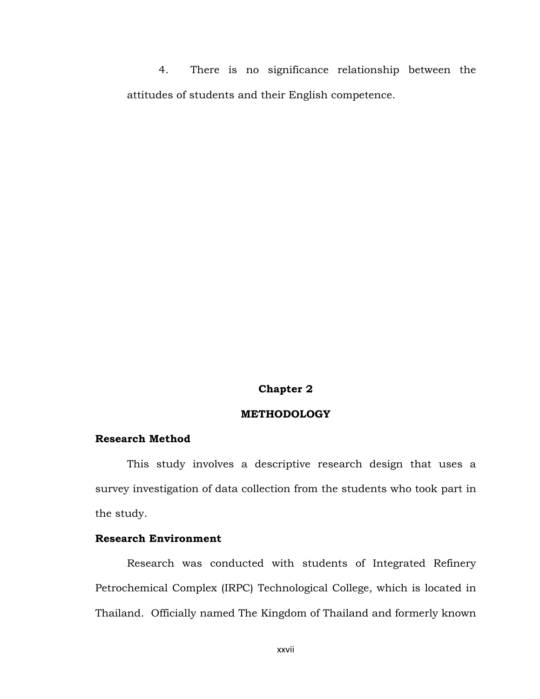4. There is no significance relationship between the attitudes of students and their English competence.

#### **Chapter 2**

### **METHODOLOGY**

#### **Research Method**

This study involves a descriptive research design that uses a survey investigation of data collection from the students who took part in the study.

### **Research Environment**

Research was conducted with students of Integrated Refinery Petrochemical Complex (IRPC) Technological College, which is located in Thailand. Officially named The Kingdom of Thailand and formerly known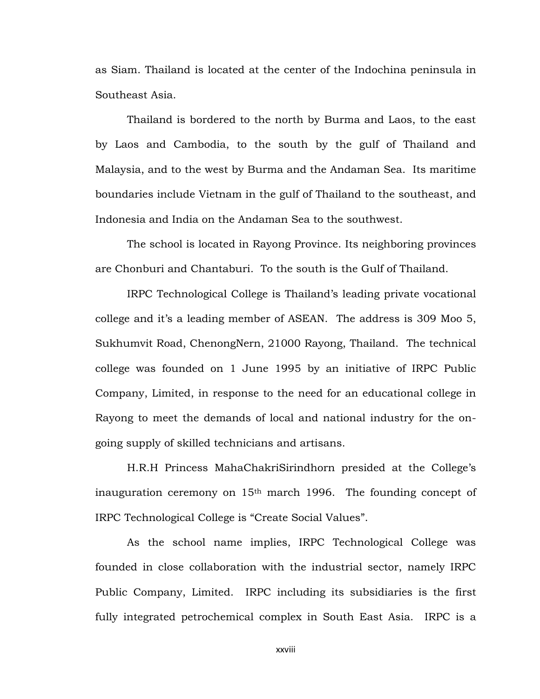as Siam. Thailand is located at the center of the Indochina peninsula in Southeast Asia.

Thailand is bordered to the north by Burma and Laos, to the east by Laos and Cambodia, to the south by the gulf of Thailand and Malaysia, and to the west by Burma and the Andaman Sea. Its maritime boundaries include Vietnam in the gulf of Thailand to the southeast, and Indonesia and India on the Andaman Sea to the southwest.

The school is located in Rayong Province. Its neighboring provinces are Chonburi and Chantaburi. To the south is the Gulf of Thailand.

IRPC Technological College is Thailand's leading private vocational college and it's a leading member of ASEAN. The address is 309 Moo 5, Sukhumvit Road, ChenongNern, 21000 Rayong, Thailand. The technical college was founded on 1 June 1995 by an initiative of IRPC Public Company, Limited, in response to the need for an educational college in Rayong to meet the demands of local and national industry for the ongoing supply of skilled technicians and artisans.

H.R.H Princess MahaChakriSirindhorn presided at the College's inauguration ceremony on 15th march 1996. The founding concept of IRPC Technological College is "Create Social Values".

As the school name implies, IRPC Technological College was founded in close collaboration with the industrial sector, namely IRPC Public Company, Limited. IRPC including its subsidiaries is the first fully integrated petrochemical complex in South East Asia. IRPC is a

xxviii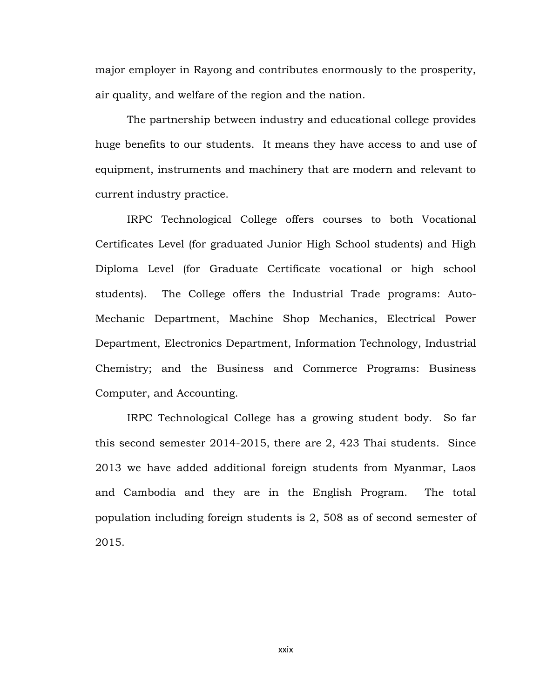major employer in Rayong and contributes enormously to the prosperity, air quality, and welfare of the region and the nation.

The partnership between industry and educational college provides huge benefits to our students. It means they have access to and use of equipment, instruments and machinery that are modern and relevant to current industry practice.

IRPC Technological College offers courses to both Vocational Certificates Level (for graduated Junior High School students) and High Diploma Level (for Graduate Certificate vocational or high school students). The College offers the Industrial Trade programs: Auto-Mechanic Department, Machine Shop Mechanics, Electrical Power Department, Electronics Department, Information Technology, Industrial Chemistry; and the Business and Commerce Programs: Business Computer, and Accounting.

IRPC Technological College has a growing student body. So far this second semester 2014-2015, there are 2, 423 Thai students. Since 2013 we have added additional foreign students from Myanmar, Laos and Cambodia and they are in the English Program. The total population including foreign students is 2, 508 as of second semester of 2015.

xxix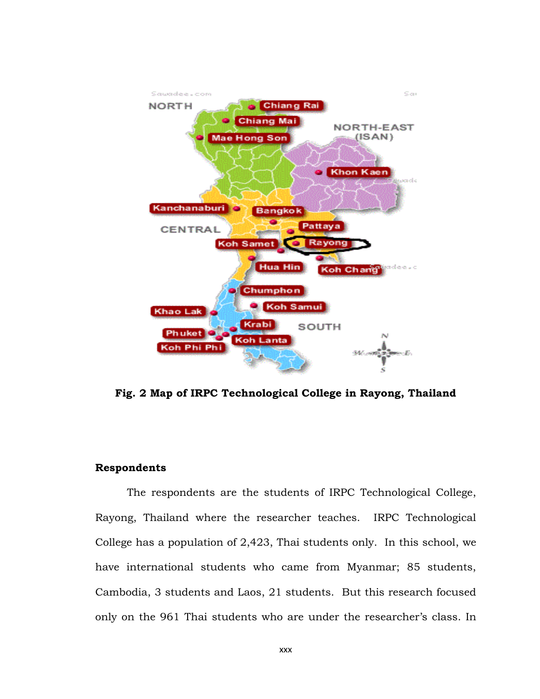

**Fig. 2 Map of IRPC Technological College in Rayong, Thailand**

### **Respondents**

The respondents are the students of IRPC Technological College, Rayong, Thailand where the researcher teaches. IRPC Technological College has a population of 2,423, Thai students only. In this school, we have international students who came from Myanmar; 85 students, Cambodia, 3 students and Laos, 21 students. But this research focused only on the 961 Thai students who are under the researcher's class. In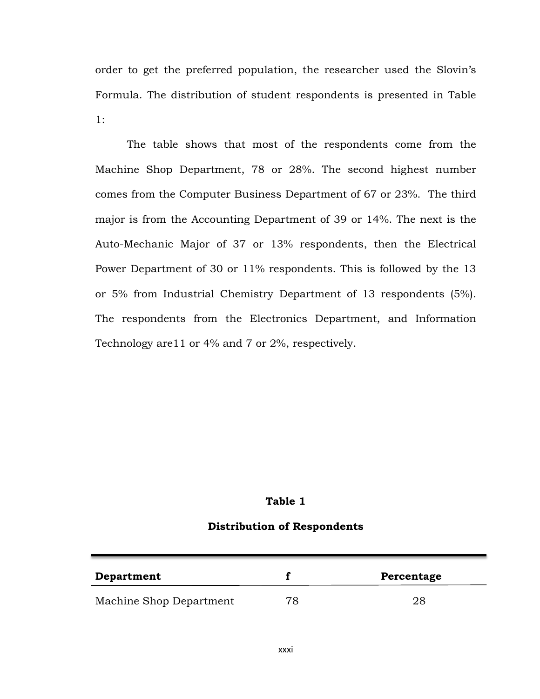order to get the preferred population, the researcher used the Slovin's Formula. The distribution of student respondents is presented in Table 1:

The table shows that most of the respondents come from the Machine Shop Department, 78 or 28%. The second highest number comes from the Computer Business Department of 67 or 23%. The third major is from the Accounting Department of 39 or 14%. The next is the Auto-Mechanic Major of 37 or 13% respondents, then the Electrical Power Department of 30 or 11% respondents. This is followed by the 13 or 5% from Industrial Chemistry Department of 13 respondents (5%). The respondents from the Electronics Department, and Information Technology are11 or 4% and 7 or 2%, respectively.

### **Table 1**

#### **Distribution of Respondents**

| <b>Department</b>       |    | Percentage |
|-------------------------|----|------------|
| Machine Shop Department | 78 | 28         |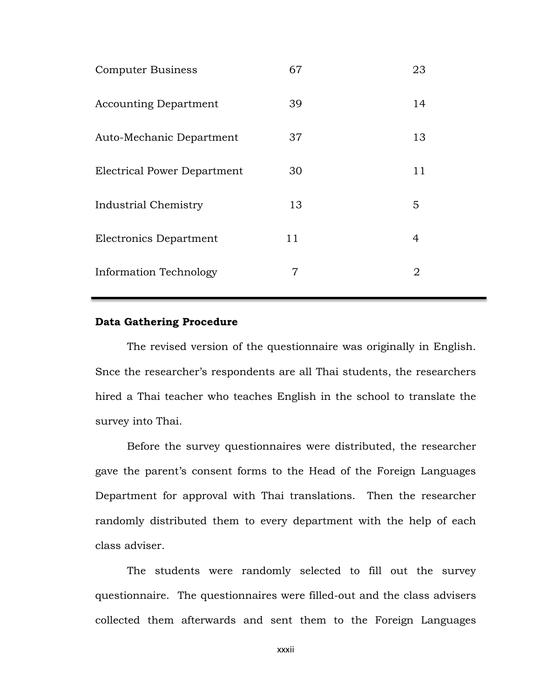| <b>Computer Business</b>     | 67 | 23             |
|------------------------------|----|----------------|
| <b>Accounting Department</b> | 39 | 14             |
| Auto-Mechanic Department     | 37 | 13             |
| Electrical Power Department  | 30 | 11             |
| Industrial Chemistry         | 13 | 5              |
| Electronics Department       | 11 | 4              |
| Information Technology       | 7  | $\overline{2}$ |

### **Data Gathering Procedure**

The revised version of the questionnaire was originally in English. Snce the researcher's respondents are all Thai students, the researchers hired a Thai teacher who teaches English in the school to translate the survey into Thai.

Before the survey questionnaires were distributed, the researcher gave the parent's consent forms to the Head of the Foreign Languages Department for approval with Thai translations. Then the researcher randomly distributed them to every department with the help of each class adviser.

The students were randomly selected to fill out the survey questionnaire. The questionnaires were filled-out and the class advisers collected them afterwards and sent them to the Foreign Languages

xxxii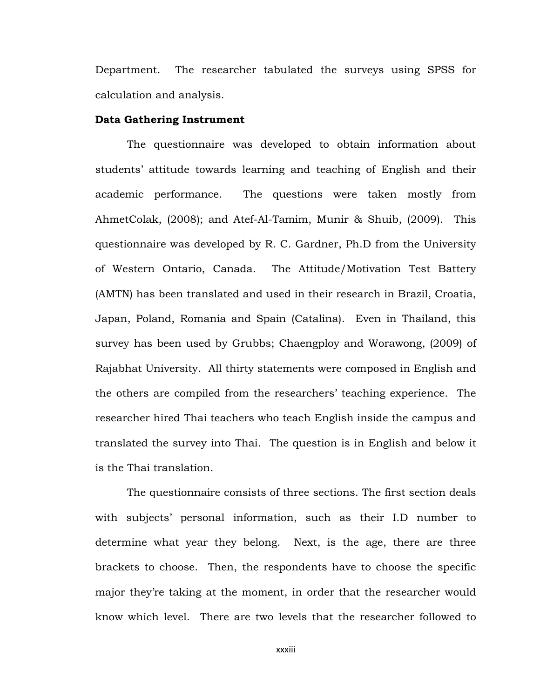Department. The researcher tabulated the surveys using SPSS for calculation and analysis.

#### **Data Gathering Instrument**

The questionnaire was developed to obtain information about students' attitude towards learning and teaching of English and their academic performance. The questions were taken mostly from AhmetColak, (2008); and Atef-Al-Tamim, Munir & Shuib, (2009). This questionnaire was developed by R. C. Gardner, Ph.D from the University of Western Ontario, Canada. The Attitude/Motivation Test Battery (AMTN) has been translated and used in their research in Brazil, Croatia, Japan, Poland, Romania and Spain (Catalina). Even in Thailand, this survey has been used by Grubbs; Chaengploy and Worawong, (2009) of Rajabhat University. All thirty statements were composed in English and the others are compiled from the researchers' teaching experience. The researcher hired Thai teachers who teach English inside the campus and translated the survey into Thai. The question is in English and below it is the Thai translation.

The questionnaire consists of three sections. The first section deals with subjects' personal information, such as their I.D number to determine what year they belong. Next, is the age, there are three brackets to choose. Then, the respondents have to choose the specific major they're taking at the moment, in order that the researcher would know which level. There are two levels that the researcher followed to

xxxiii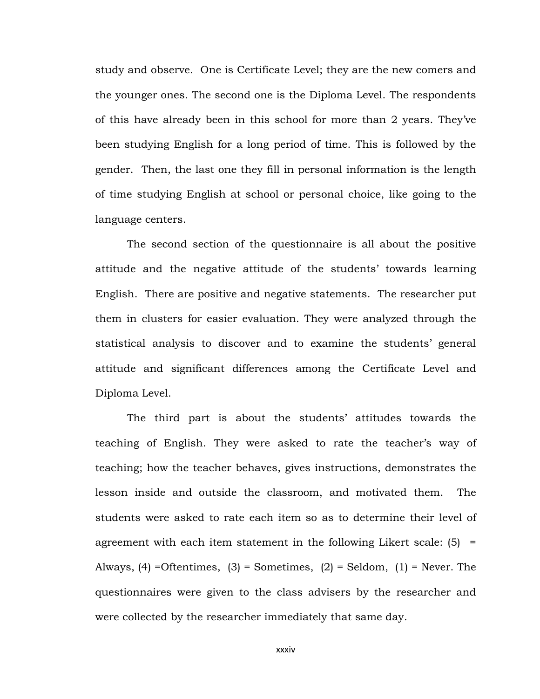study and observe. One is Certificate Level; they are the new comers and the younger ones. The second one is the Diploma Level. The respondents of this have already been in this school for more than 2 years. They've been studying English for a long period of time. This is followed by the gender. Then, the last one they fill in personal information is the length of time studying English at school or personal choice, like going to the language centers.

The second section of the questionnaire is all about the positive attitude and the negative attitude of the students' towards learning English. There are positive and negative statements. The researcher put them in clusters for easier evaluation. They were analyzed through the statistical analysis to discover and to examine the students' general attitude and significant differences among the Certificate Level and Diploma Level.

The third part is about the students' attitudes towards the teaching of English. They were asked to rate the teacher's way of teaching; how the teacher behaves, gives instructions, demonstrates the lesson inside and outside the classroom, and motivated them. The students were asked to rate each item so as to determine their level of agreement with each item statement in the following Likert scale:  $(5)$  = Always,  $(4)$  =Oftentimes,  $(3)$  = Sometimes,  $(2)$  = Seldom,  $(1)$  = Never. The questionnaires were given to the class advisers by the researcher and were collected by the researcher immediately that same day.

xxxiv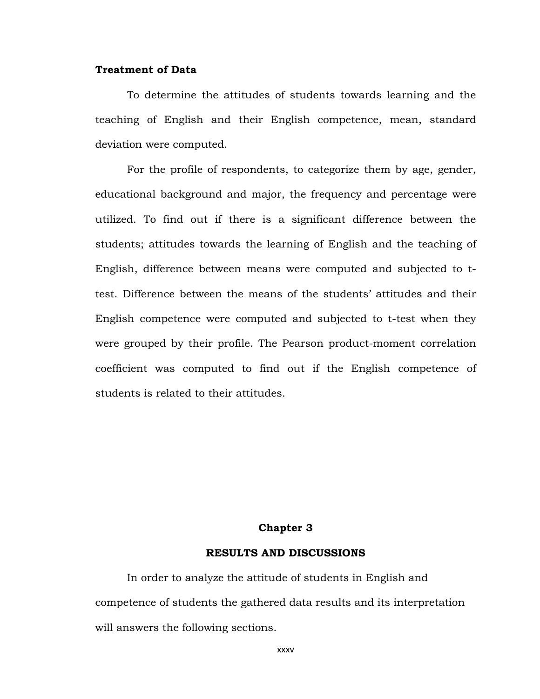### **Treatment of Data**

To determine the attitudes of students towards learning and the teaching of English and their English competence, mean, standard deviation were computed.

For the profile of respondents, to categorize them by age, gender, educational background and major, the frequency and percentage were utilized. To find out if there is a significant difference between the students; attitudes towards the learning of English and the teaching of English, difference between means were computed and subjected to ttest. Difference between the means of the students' attitudes and their English competence were computed and subjected to t-test when they were grouped by their profile. The Pearson product-moment correlation coefficient was computed to find out if the English competence of students is related to their attitudes.

#### **Chapter 3**

### **RESULTS AND DISCUSSIONS**

In order to analyze the attitude of students in English and competence of students the gathered data results and its interpretation will answers the following sections.

xxxv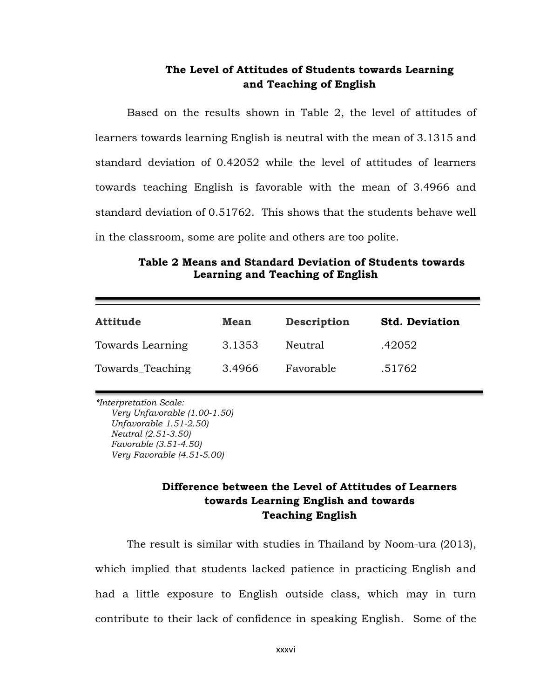## **The Level of Attitudes of Students towards Learning and Teaching of English**

Based on the results shown in Table 2, the level of attitudes of learners towards learning English is neutral with the mean of 3.1315 and standard deviation of 0.42052 while the level of attitudes of learners towards teaching English is favorable with the mean of 3.4966 and standard deviation of 0.51762. This shows that the students behave well in the classroom, some are polite and others are too polite.

### **Table 2 Means and Standard Deviation of Students towards Learning and Teaching of English**

| <b>Attitude</b>  | <b>Mean</b> | <b>Description</b> | <b>Std. Deviation</b> |
|------------------|-------------|--------------------|-----------------------|
| Towards Learning | 3.1353      | Neutral            | .42052                |
| Towards_Teaching | 3.4966      | Favorable          | .51762                |

*\*Interpretation Scale:*

*Very Unfavorable (1.00-1.50) Unfavorable 1.51-2.50) Neutral (2.51-3.50) Favorable (3.51-4.50) Very Favorable (4.51-5.00)*

## **Difference between the Level of Attitudes of Learners towards Learning English and towards Teaching English**

The result is similar with studies in Thailand by Noom-ura (2013), which implied that students lacked patience in practicing English and had a little exposure to English outside class, which may in turn contribute to their lack of confidence in speaking English. Some of the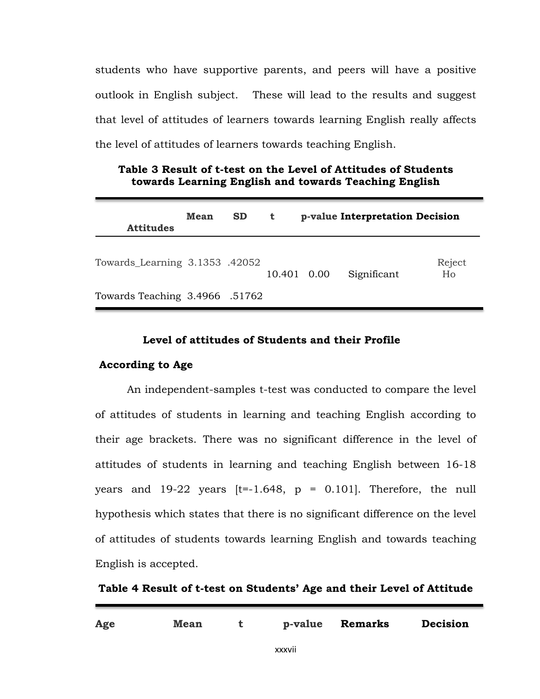students who have supportive parents, and peers will have a positive outlook in English subject. These will lead to the results and suggest that level of attitudes of learners towards learning English really affects the level of attitudes of learners towards teaching English.

| Table 3 Result of t-test on the Level of Attitudes of Students |  |
|----------------------------------------------------------------|--|
| towards Learning English and towards Teaching English          |  |

| <b>Attitudes</b>               | Mean | <b>SD</b> | t           | p-value Interpretation Decision |              |
|--------------------------------|------|-----------|-------------|---------------------------------|--------------|
| Towards_Learning 3.1353 .42052 |      |           | 10.401 0.00 | Significant                     | Reject<br>Ho |
| Towards Teaching 3.4966 .51762 |      |           |             |                                 |              |

### **Level of attitudes of Students and their Profile**

### **According to Age**

An independent-samples t-test was conducted to compare the level of attitudes of students in learning and teaching English according to their age brackets. There was no significant difference in the level of attitudes of students in learning and teaching English between 16-18 years and  $19-22$  years  $[t=.1.648, p = 0.101]$ . Therefore, the null hypothesis which states that there is no significant difference on the level of attitudes of students towards learning English and towards teaching English is accepted.

**Table 4 Result of t-test on Students' Age and their Level of Attitude** 

| Age | <b>Mean</b> |        | p-value Remarks | <b>Decision</b> |
|-----|-------------|--------|-----------------|-----------------|
|     |             | xxxvii |                 |                 |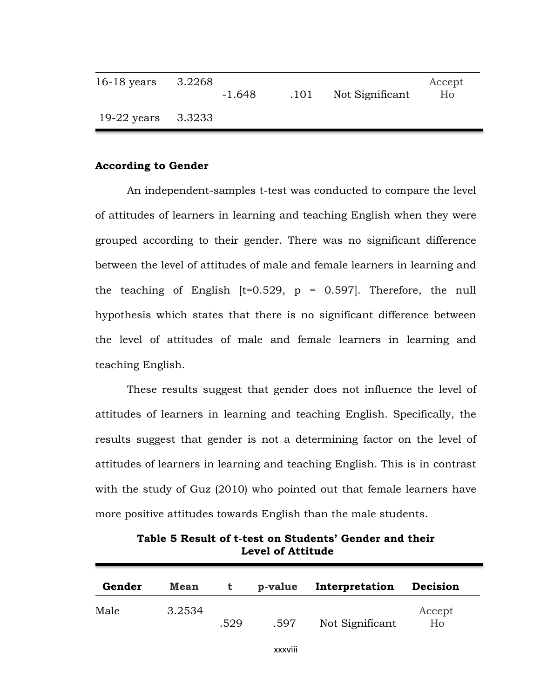| $16-18$ years | 3.2268 | $-1.648$ | .101 | Not Significant | Accept<br>Ho |
|---------------|--------|----------|------|-----------------|--------------|
| $19-22$ years | 3.3233 |          |      |                 |              |

### **According to Gender**

An independent-samples t-test was conducted to compare the level of attitudes of learners in learning and teaching English when they were grouped according to their gender. There was no significant difference between the level of attitudes of male and female learners in learning and the teaching of English  $[t=0.529, p = 0.597]$ . Therefore, the null hypothesis which states that there is no significant difference between the level of attitudes of male and female learners in learning and teaching English.

These results suggest that gender does not influence the level of attitudes of learners in learning and teaching English. Specifically, the results suggest that gender is not a determining factor on the level of attitudes of learners in learning and teaching English. This is in contrast with the study of Guz (2010) who pointed out that female learners have more positive attitudes towards English than the male students.

| Gender | <b>Mean</b> |      | p-value | Interpretation  | Decision     |
|--------|-------------|------|---------|-----------------|--------------|
| Male   | 3.2534      | .529 | .597    | Not Significant | Accept<br>Ho |

**Table 5 Result of t-test on Students' Gender and their Level of Attitude**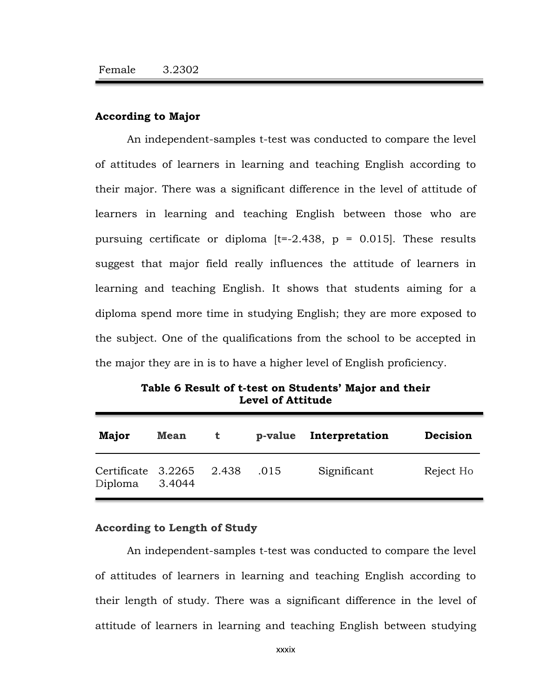### **According to Major**

An independent-samples t-test was conducted to compare the level of attitudes of learners in learning and teaching English according to their major. There was a significant difference in the level of attitude of learners in learning and teaching English between those who are pursuing certificate or diploma  $[t=.2.438, p = 0.015]$ . These results suggest that major field really influences the attitude of learners in learning and teaching English. It shows that students aiming for a diploma spend more time in studying English; they are more exposed to the subject. One of the qualifications from the school to be accepted in the major they are in is to have a higher level of English proficiency.

| Major                         | <b>Mean</b> | $\mathbf{t}$ | p-value | Interpretation | Decision  |
|-------------------------------|-------------|--------------|---------|----------------|-----------|
| Certificate 3.2265<br>Diploma | 3.4044      | 2.438        | .015    | Significant    | Reject Ho |

**Table 6 Result of t-test on Students' Major and their Level of Attitude** 

### **According to Length of Study**

An independent-samples t-test was conducted to compare the level of attitudes of learners in learning and teaching English according to their length of study. There was a significant difference in the level of attitude of learners in learning and teaching English between studying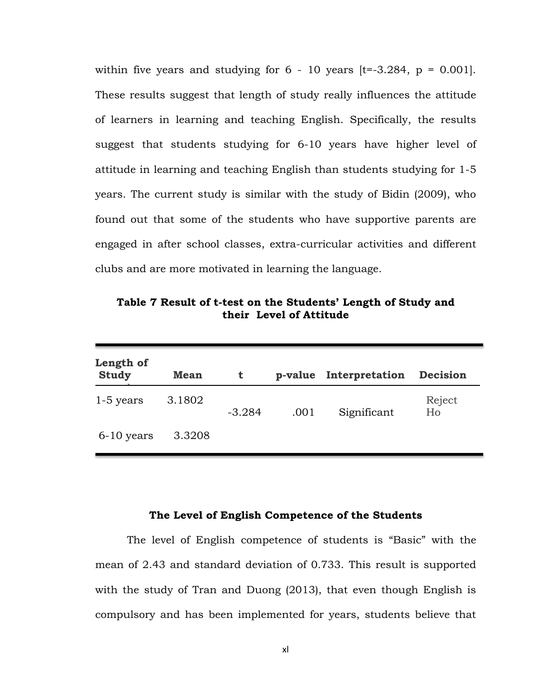within five years and studying for  $6 - 10$  years  $[t=.3.284, p = 0.001]$ . These results suggest that length of study really influences the attitude of learners in learning and teaching English. Specifically, the results suggest that students studying for 6-10 years have higher level of attitude in learning and teaching English than students studying for 1-5 years. The current study is similar with the study of Bidin (2009), who found out that some of the students who have supportive parents are engaged in after school classes, extra-curricular activities and different clubs and are more motivated in learning the language.

**Table 7 Result of t-test on the Students' Length of Study and their Level of Attitude**

| Length of<br><b>Study</b> | <b>Mean</b> | t        | p-value | Interpretation | <b>Decision</b> |
|---------------------------|-------------|----------|---------|----------------|-----------------|
| $1-5$ years               | 3.1802      | $-3.284$ | .001    | Significant    | Reject<br>Ho    |
| $6-10$ years              | 3.3208      |          |         |                |                 |

#### **The Level of English Competence of the Students**

The level of English competence of students is "Basic" with the mean of 2.43 and standard deviation of 0.733. This result is supported with the study of Tran and Duong (2013), that even though English is compulsory and has been implemented for years, students believe that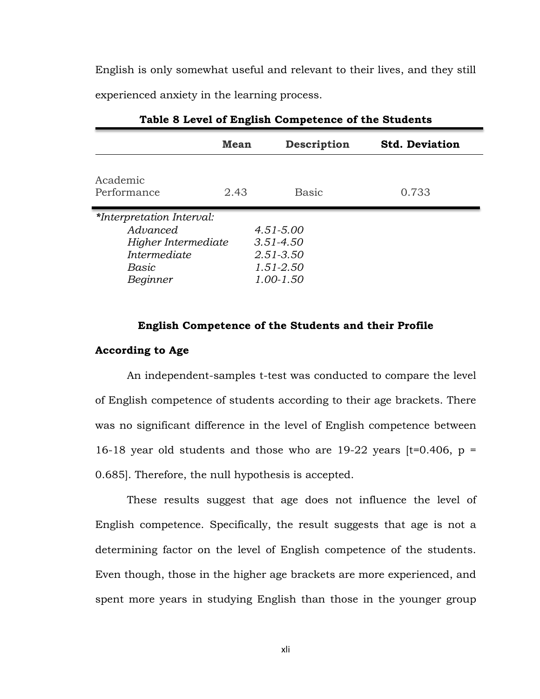English is only somewhat useful and relevant to their lives, and they still experienced anxiety in the learning process.

|                                                                                                   | <b>Mean</b> | <b>Description</b>                                                        | <b>Std. Deviation</b> |
|---------------------------------------------------------------------------------------------------|-------------|---------------------------------------------------------------------------|-----------------------|
| Academic<br>Performance                                                                           | 2.43        | <b>Basic</b>                                                              | 0.733                 |
| *Interpretation Interval:<br>Advanced<br>Higher Intermediate<br>Intermediate<br>Basic<br>Beginner |             | $4.51 - 5.00$<br>$3.51 - 4.50$<br>$2.51 - 3.50$<br>1.51-2.50<br>1.00-1.50 |                       |

**Table 8 Level of English Competence of the Students**

# **English Competence of the Students and their Profile According to Age**

An independent-samples t-test was conducted to compare the level of English competence of students according to their age brackets. There was no significant difference in the level of English competence between 16-18 year old students and those who are 19-22 years  $[t=0.406, p =$ 0.685]. Therefore, the null hypothesis is accepted.

These results suggest that age does not influence the level of English competence. Specifically, the result suggests that age is not a determining factor on the level of English competence of the students. Even though, those in the higher age brackets are more experienced, and spent more years in studying English than those in the younger group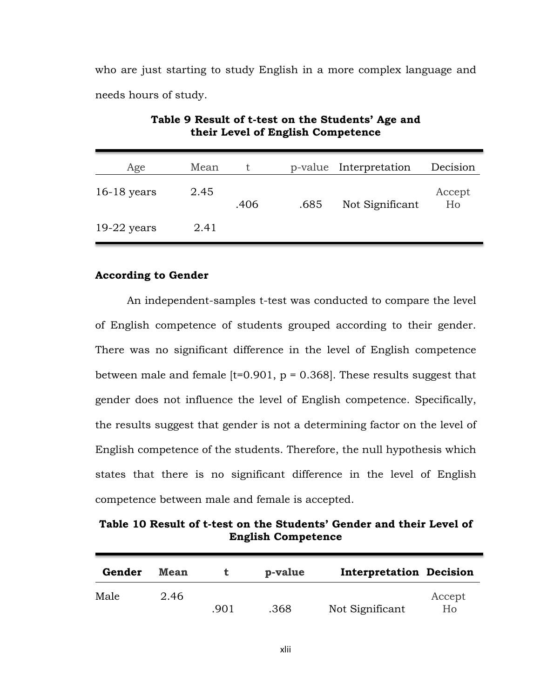who are just starting to study English in a more complex language and needs hours of study.

| Age           | Mean |      | p-value | Interpretation  | Decision     |
|---------------|------|------|---------|-----------------|--------------|
| $16-18$ years | 2.45 | .406 | .685    | Not Significant | Accept<br>Ho |
| $19-22$ years | 2.41 |      |         |                 |              |

**Table 9 Result of t-test on the Students' Age and their Level of English Competence**

#### **According to Gender**

An independent-samples t-test was conducted to compare the level of English competence of students grouped according to their gender. There was no significant difference in the level of English competence between male and female  $[t=0.901, p = 0.368]$ . These results suggest that gender does not influence the level of English competence. Specifically, the results suggest that gender is not a determining factor on the level of English competence of the students. Therefore, the null hypothesis which states that there is no significant difference in the level of English competence between male and female is accepted.

**Table 10 Result of t-test on the Students' Gender and their Level of English Competence**

| Gender | <b>Mean</b> |      | p-value | <b>Interpretation Decision</b> |              |
|--------|-------------|------|---------|--------------------------------|--------------|
| Male   | 2.46        | .901 | .368    | Not Significant                | Accept<br>Ho |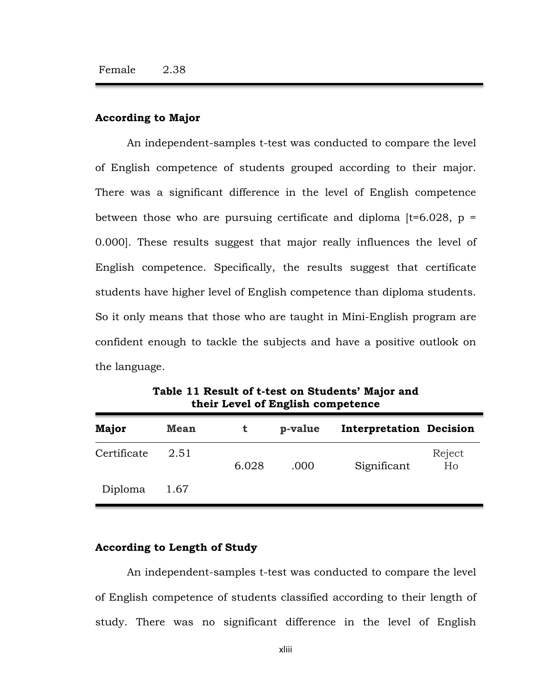### **According to Major**

An independent-samples t-test was conducted to compare the level of English competence of students grouped according to their major. There was a significant difference in the level of English competence between those who are pursuing certificate and diploma  $[t=6.028, p =$ 0.000]. These results suggest that major really influences the level of English competence. Specifically, the results suggest that certificate students have higher level of English competence than diploma students. So it only means that those who are taught in Mini-English program are confident enough to tackle the subjects and have a positive outlook on the language.

| <b>Major</b> | <b>Mean</b> | t     | p-value | <b>Interpretation Decision</b> |              |
|--------------|-------------|-------|---------|--------------------------------|--------------|
| Certificate  | 2.51        | 6.028 | .000    | Significant                    | Reject<br>Ho |
| Diploma      | 1.67        |       |         |                                |              |

**Table 11 Result of t-test on Students' Major and their Level of English competence**

### **According to Length of Study**

An independent-samples t-test was conducted to compare the level of English competence of students classified according to their length of study. There was no significant difference in the level of English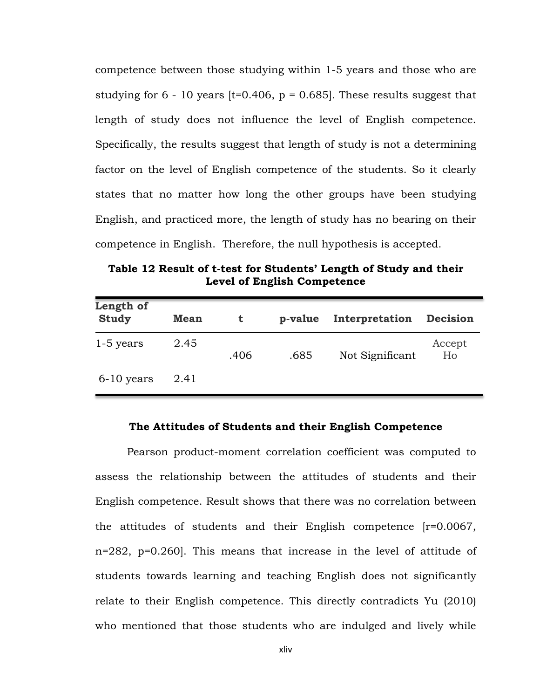competence between those studying within 1-5 years and those who are studying for  $6 - 10$  years [t=0.406, p = 0.685]. These results suggest that length of study does not influence the level of English competence. Specifically, the results suggest that length of study is not a determining factor on the level of English competence of the students. So it clearly states that no matter how long the other groups have been studying English, and practiced more, the length of study has no bearing on their competence in English. Therefore, the null hypothesis is accepted.

**Table 12 Result of t-test for Students' Length of Study and their Level of English Competence**

| Length of<br><b>Study</b> | <b>Mean</b> | t    | p-value | Interpretation  | <b>Decision</b> |
|---------------------------|-------------|------|---------|-----------------|-----------------|
| 1-5 years                 | 2.45        | .406 | .685    | Not Significant | Accept<br>Ho    |
| $6-10$ years              | 2.41        |      |         |                 |                 |

#### **The Attitudes of Students and their English Competence**

Pearson product-moment correlation coefficient was computed to assess the relationship between the attitudes of students and their English competence. Result shows that there was no correlation between the attitudes of students and their English competence [r=0.0067, n=282, p=0.260]. This means that increase in the level of attitude of students towards learning and teaching English does not significantly relate to their English competence. This directly contradicts Yu (2010) who mentioned that those students who are indulged and lively while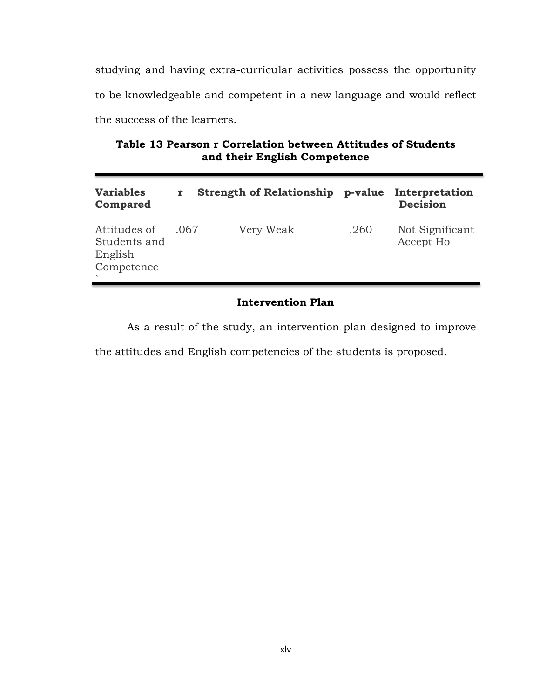studying and having extra-curricular activities possess the opportunity to be knowledgeable and competent in a new language and would reflect the success of the learners.

**Table 13 Pearson r Correlation between Attitudes of Students and their English Competence**

| <b>Variables</b><br>Compared                          |      | <b>Strength of Relationship</b> | p-value | Interpretation<br><b>Decision</b> |
|-------------------------------------------------------|------|---------------------------------|---------|-----------------------------------|
| Attitudes of<br>Students and<br>English<br>Competence | .067 | Very Weak                       | .260    | Not Significant<br>Accept Ho      |

### **Intervention Plan**

As a result of the study, an intervention plan designed to improve

the attitudes and English competencies of the students is proposed.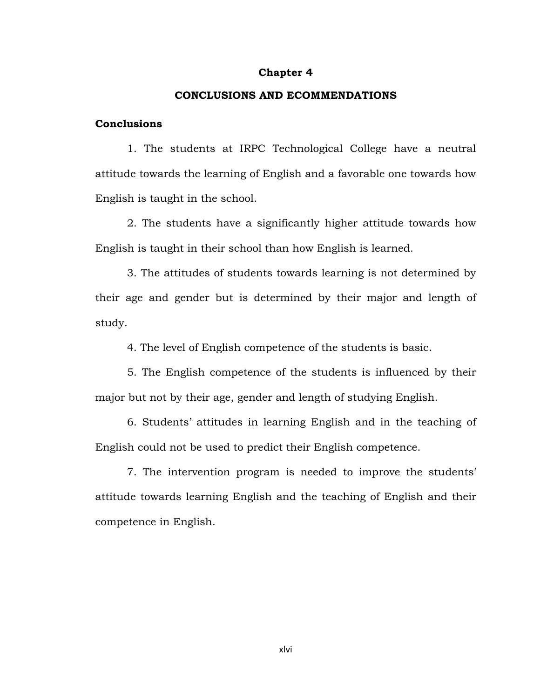#### **Chapter 4**

#### **CONCLUSIONS AND ECOMMENDATIONS**

#### **Conclusions**

1. The students at IRPC Technological College have a neutral attitude towards the learning of English and a favorable one towards how English is taught in the school.

2. The students have a significantly higher attitude towards how English is taught in their school than how English is learned.

3. The attitudes of students towards learning is not determined by their age and gender but is determined by their major and length of study.

4. The level of English competence of the students is basic.

5. The English competence of the students is influenced by their major but not by their age, gender and length of studying English.

6. Students' attitudes in learning English and in the teaching of English could not be used to predict their English competence.

7. The intervention program is needed to improve the students' attitude towards learning English and the teaching of English and their competence in English.

xlvi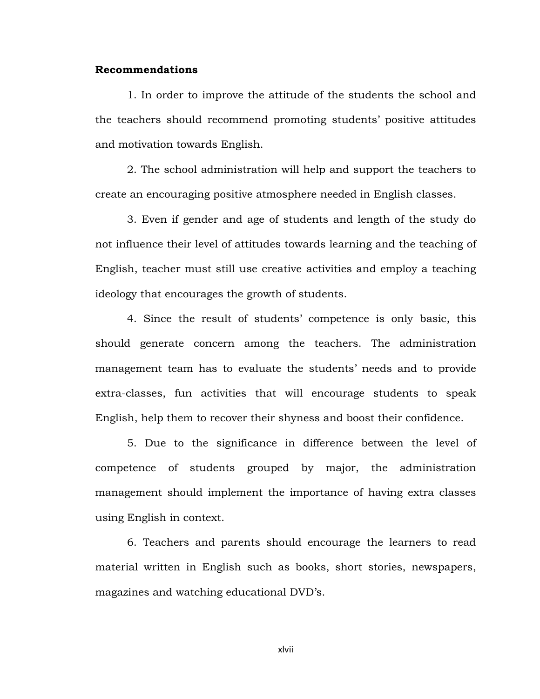#### **Recommendations**

1. In order to improve the attitude of the students the school and the teachers should recommend promoting students' positive attitudes and motivation towards English.

2. The school administration will help and support the teachers to create an encouraging positive atmosphere needed in English classes.

3. Even if gender and age of students and length of the study do not influence their level of attitudes towards learning and the teaching of English, teacher must still use creative activities and employ a teaching ideology that encourages the growth of students.

4. Since the result of students' competence is only basic, this should generate concern among the teachers. The administration management team has to evaluate the students' needs and to provide extra-classes, fun activities that will encourage students to speak English, help them to recover their shyness and boost their confidence.

5. Due to the significance in difference between the level of competence of students grouped by major, the administration management should implement the importance of having extra classes using English in context.

6. Teachers and parents should encourage the learners to read material written in English such as books, short stories, newspapers, magazines and watching educational DVD's.

xlvii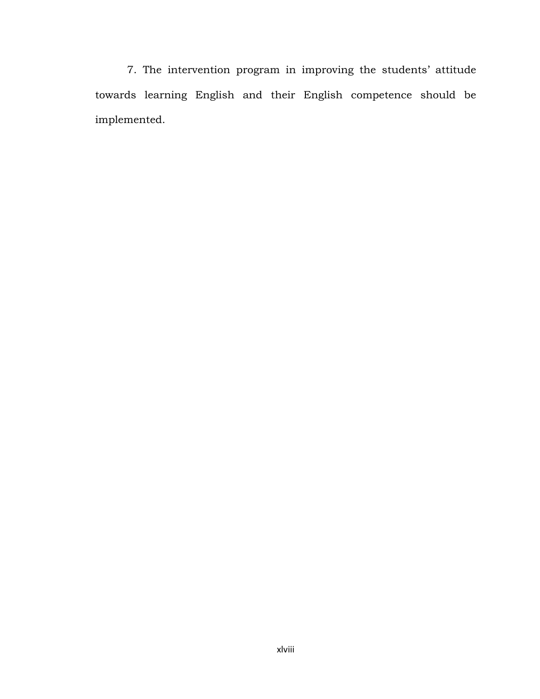7. The intervention program in improving the students' attitude towards learning English and their English competence should be implemented.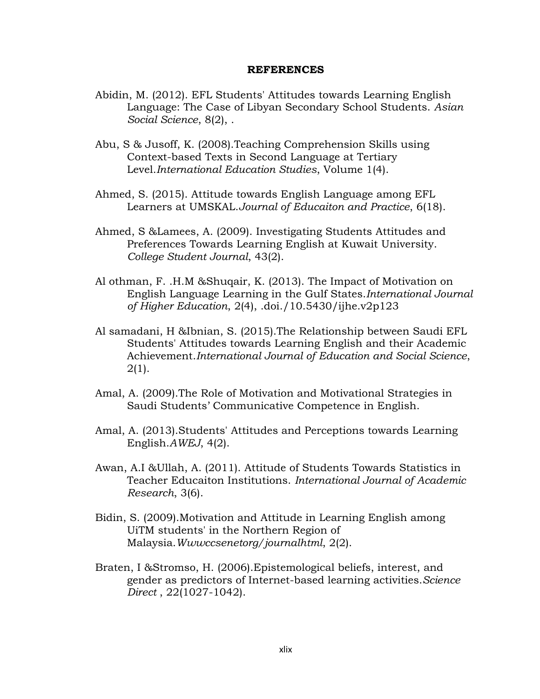#### **REFERENCES**

- Abidin, M. (2012). EFL Students' Attitudes towards Learning English Language: The Case of Libyan Secondary School Students. *Asian Social Science*, 8(2), .
- Abu, S & Jusoff, K. (2008).Teaching Comprehension Skills using Context-based Texts in Second Language at Tertiary Level.*International Education Studies*, Volume 1(4).
- Ahmed, S. (2015). Attitude towards English Language among EFL Learners at UMSKAL.*Journal of Educaiton and Practice*, 6(18).
- Ahmed, S &Lamees, A. (2009). Investigating Students Attitudes and Preferences Towards Learning English at Kuwait University. *College Student Journal*, 43(2).
- Al othman, F. .H.M &Shuqair, K. (2013). The Impact of Motivation on English Language Learning in the Gulf States.*International Journal of Higher Education*, 2(4), .doi./10.5430/ijhe.v2p123
- Al samadani, H &Ibnian, S. (2015).The Relationship between Saudi EFL Students' Attitudes towards Learning English and their Academic Achievement.*International Journal of Education and Social Science*, 2(1).
- Amal, A. (2009).The Role of Motivation and Motivational Strategies in Saudi Students' Communicative Competence in English.
- Amal, A. (2013).Students' Attitudes and Perceptions towards Learning English.*AWEJ*, 4(2).
- Awan, A.I &Ullah, A. (2011). Attitude of Students Towards Statistics in Teacher Educaiton Institutions. *International Journal of Academic Research*, 3(6).
- Bidin, S. (2009).Motivation and Attitude in Learning English among UiTM students' in the Northern Region of Malaysia.*Wwwccsenetorg/journalhtml*, 2(2).
- Braten, I &Stromso, H. (2006).Epistemological beliefs, interest, and gender as predictors of Internet-based learning activities.*Science Direct* , 22(1027-1042).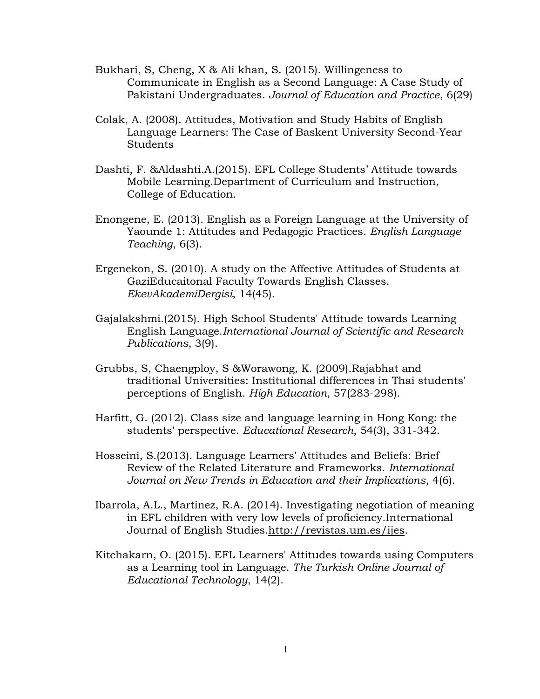- Bukhari, S, Cheng, X & Ali khan, S. (2015). Willingeness to Communicate in English as a Second Language: A Case Study of Pakistani Undergraduates. *Journal of Education and Practice*, 6(29)
- Colak, A. (2008). Attitudes, Motivation and Study Habits of English Language Learners: The Case of Baskent University Second-Year Students
- Dashti, F. &Aldashti.A.(2015). EFL College Students' Attitude towards Mobile Learning.Department of Curriculum and Instruction, College of Education.
- Enongene, E. (2013). English as a Foreign Language at the University of Yaounde 1: Attitudes and Pedagogic Practices. *English Language Teaching*, 6(3).
- Ergenekon, S. (2010). A study on the Affective Attitudes of Students at GaziEducaitonal Faculty Towards English Classes. *EkevAkademiDergisi*, 14(45).
- Gajalakshmi.(2015). High School Students' Attitude towards Learning English Language.*International Journal of Scientific and Research Publications*, 3(9).
- Grubbs, S, Chaengploy, S &Worawong, K. (2009).Rajabhat and traditional Universities: Institutional differences in Thai students' perceptions of English. *High Education*, 57(283-298).
- Harfitt, G. (2012). Class size and language learning in Hong Kong: the students' perspective. *Educational Research*, 54(3), 331-342.
- Hosseini, S.(2013). Language Learners' Attitudes and Beliefs: Brief Review of the Related Literature and Frameworks. *International Journal on New Trends in Education and their Implications*, 4(6).
- Ibarrola, A.L., Martinez, R.A. (2014). Investigating negotiation of meaning in EFL children with very low levels of proficiency.International Journal of English Studies[.http://revistas.um.es/ijes.](http://revistas.um.es/ijes)
- Kitchakarn, O. (2015). EFL Learners' Attitudes towards using Computers as a Learning tool in Language. *The Turkish Online Journal of Educational Technology*, 14(2).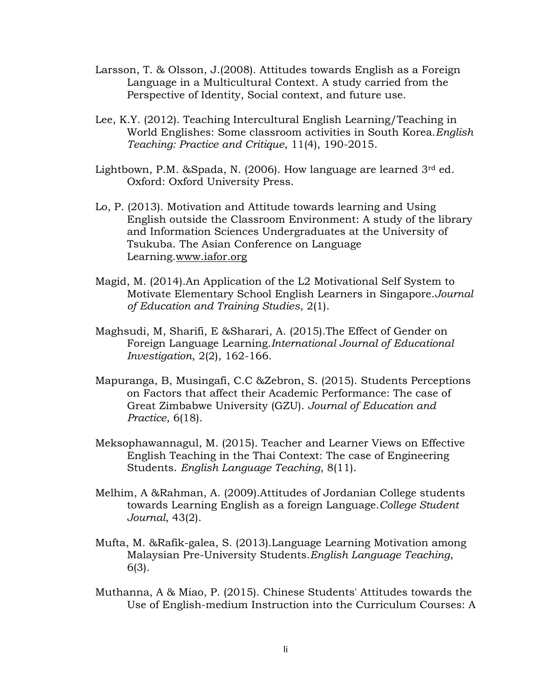- Larsson, T. & Olsson, J.(2008). Attitudes towards English as a Foreign Language in a Multicultural Context. A study carried from the Perspective of Identity, Social context, and future use.
- Lee, K.Y. (2012). Teaching Intercultural English Learning/Teaching in World Englishes: Some classroom activities in South Korea.*English Teaching: Practice and Critique*, 11(4), 190-2015.
- Lightbown, P.M. & Spada, N.  $(2006)$ . How language are learned  $3<sup>rd</sup>$  ed. Oxford: Oxford University Press.
- Lo, P. (2013). Motivation and Attitude towards learning and Using English outside the Classroom Environment: A study of the library and Information Sciences Undergraduates at the University of Tsukuba. The Asian Conference on Language Learning[.www.iafor.org](http://www.iafor.org/)
- Magid, M. (2014).An Application of the L2 Motivational Self System to Motivate Elementary School English Learners in Singapore.*Journal of Education and Training Studies*, 2(1).
- Maghsudi, M, Sharifi, E &Sharari, A. (2015).The Effect of Gender on Foreign Language Learning.*International Journal of Educational Investigation*, 2(2), 162-166.
- Mapuranga, B, Musingafi, C.C &Zebron, S. (2015). Students Perceptions on Factors that affect their Academic Performance: The case of Great Zimbabwe University (GZU). *Journal of Education and Practice*, 6(18).
- Meksophawannagul, M. (2015). Teacher and Learner Views on Effective English Teaching in the Thai Context: The case of Engineering Students. *English Language Teaching*, 8(11).
- Melhim, A &Rahman, A. (2009).Attitudes of Jordanian College students towards Learning English as a foreign Language.*College Student Journal*, 43(2).
- Mufta, M. &Rafik-galea, S. (2013).Language Learning Motivation among Malaysian Pre-University Students.*English Language Teaching*, 6(3).
- Muthanna, A & Miao, P. (2015). Chinese Students' Attitudes towards the Use of English-medium Instruction into the Curriculum Courses: A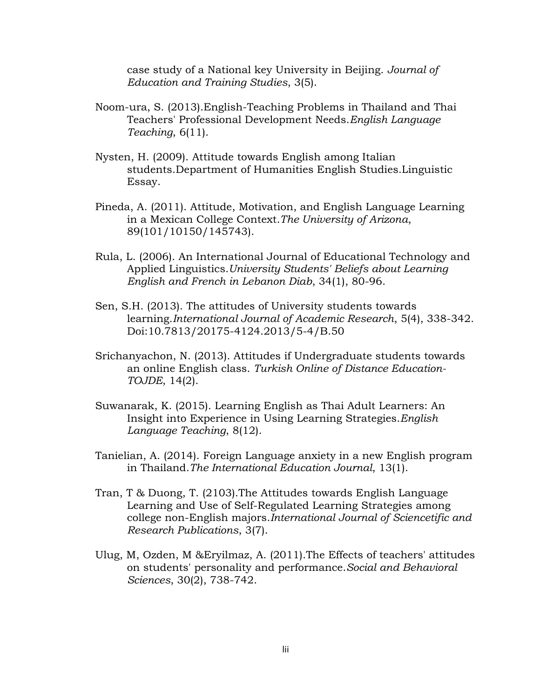case study of a National key University in Beijing. *Journal of Education and Training Studies*, 3(5).

- Noom-ura, S. (2013).English-Teaching Problems in Thailand and Thai Teachers' Professional Development Needs.*English Language Teaching*, 6(11).
- Nysten, H. (2009). Attitude towards English among Italian students.Department of Humanities English Studies.Linguistic Essay.
- Pineda, A. (2011). Attitude, Motivation, and English Language Learning in a Mexican College Context.*The University of Arizona*, 89(101/10150/145743).
- Rula, L. (2006). An International Journal of Educational Technology and Applied Linguistics.*University Students' Beliefs about Learning English and French in Lebanon Diab*, 34(1), 80-96.
- Sen, S.H. (2013). The attitudes of University students towards learning.*International Journal of Academic Research*, 5(4), 338-342. Doi:10.7813/20175-4124.2013/5-4/B.50
- Srichanyachon, N. (2013). Attitudes if Undergraduate students towards an online English class. *Turkish Online of Distance Education-TOJDE*, 14(2).
- Suwanarak, K. (2015). Learning English as Thai Adult Learners: An Insight into Experience in Using Learning Strategies.*English Language Teaching*, 8(12).
- Tanielian, A. (2014). Foreign Language anxiety in a new English program in Thailand.*The International Education Journal*, 13(1).
- Tran, T & Duong, T. (2103).The Attitudes towards English Language Learning and Use of Self-Regulated Learning Strategies among college non-English majors.*International Journal of Sciencetific and Research Publications*, 3(7).
- Ulug, M, Ozden, M &Eryilmaz, A. (2011).The Effects of teachers' attitudes on students' personality and performance.*Social and Behavioral Sciences*, 30(2), 738-742.